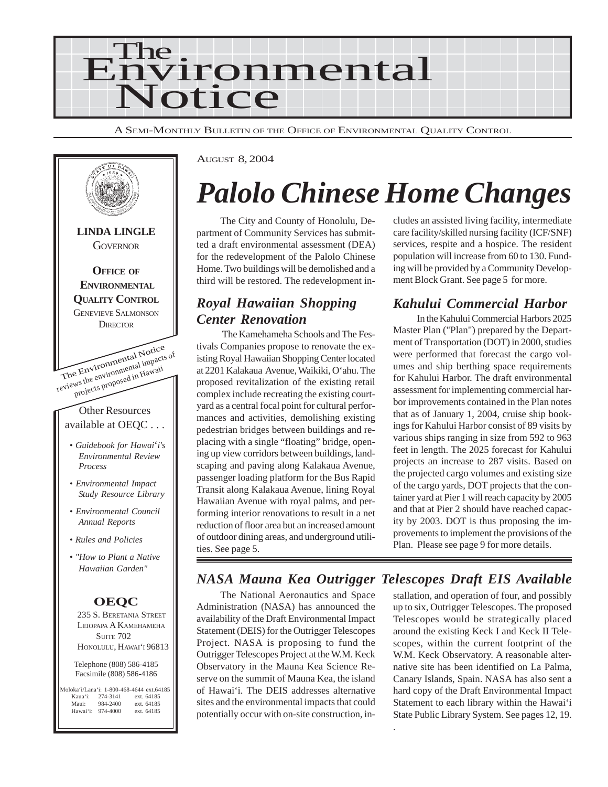

A SEMI-MONTHLY BULLETIN OF THE OFFICE OF ENVIRONMENTAL QUALITY CONTROL



AUGUST 8, 2004

# *Palolo Chinese Home Changes*

The City and County of Honolulu, Department of Community Services has submitted a draft environmental assessment (DEA) for the redevelopment of the Palolo Chinese Home. Two buildings will be demolished and a third will be restored. The redevelopment in-

### *Royal Hawaiian Shopping Center Renovation*

 The Kamehameha Schools and The Festivals Companies propose to renovate the existing Royal Hawaiian Shopping Center located at 2201 Kalakaua Avenue, Waikiki, O'ahu. The proposed revitalization of the existing retail complex include recreating the existing courtyard as a central focal point for cultural performances and activities, demolishing existing pedestrian bridges between buildings and replacing with a single "floating" bridge, opening up view corridors between buildings, landscaping and paving along Kalakaua Avenue, passenger loading platform for the Bus Rapid Transit along Kalakaua Avenue, lining Royal Hawaiian Avenue with royal palms, and performing interior renovations to result in a net reduction of floor area but an increased amount of outdoor dining areas, and underground utilities. See page 5.

cludes an assisted living facility, intermediate care facility/skilled nursing facility (ICF/SNF) services, respite and a hospice. The resident population will increase from 60 to 130. Funding will be provided by a Community Development Block Grant. See page 5 for more.

# *Kahului Commercial Harbor*

In the Kahului Commercial Harbors 2025 Master Plan ("Plan") prepared by the Department of Transportation (DOT) in 2000, studies were performed that forecast the cargo volumes and ship berthing space requirements for Kahului Harbor. The draft environmental assessment for implementing commercial harbor improvements contained in the Plan notes that as of January 1, 2004, cruise ship bookings for Kahului Harbor consist of 89 visits by various ships ranging in size from 592 to 963 feet in length. The 2025 forecast for Kahului projects an increase to 287 visits. Based on the projected cargo volumes and existing size of the cargo yards, DOT projects that the container yard at Pier 1 will reach capacity by 2005 and that at Pier 2 should have reached capacity by 2003. DOT is thus proposing the improvements to implement the provisions of the Plan. Please see page 9 for more details.

# *NASA Mauna Kea Outrigger Telescopes Draft EIS Available*

.

The National Aeronautics and Space Administration (NASA) has announced the availability of the Draft Environmental Impact Statement (DEIS) for the Outrigger Telescopes Project. NASA is proposing to fund the Outrigger Telescopes Project at the W.M. Keck Observatory in the Mauna Kea Science Reserve on the summit of Mauna Kea, the island of Hawai'i. The DEIS addresses alternative sites and the environmental impacts that could potentially occur with on-site construction, installation, and operation of four, and possibly up to six, Outrigger Telescopes. The proposed Telescopes would be strategically placed around the existing Keck I and Keck II Telescopes, within the current footprint of the W.M. Keck Observatory. A reasonable alternative site has been identified on La Palma, Canary Islands, Spain. NASA has also sent a hard copy of the Draft Environmental Impact Statement to each library within the Hawai'i State Public Library System. See pages 12, 19.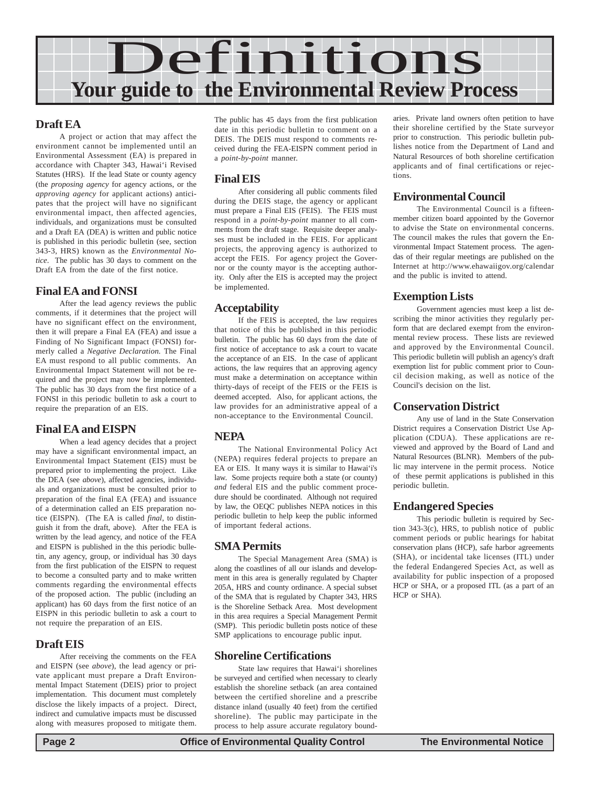

### **Draft EA**

A project or action that may affect the environment cannot be implemented until an Environmental Assessment (EA) is prepared in accordance with Chapter 343, Hawai'i Revised Statutes (HRS). If the lead State or county agency (the *proposing agency* for agency actions, or the *approving agency* for applicant actions) anticipates that the project will have no significant environmental impact, then affected agencies, individuals, and organizations must be consulted and a Draft EA (DEA) is written and public notice is published in this periodic bulletin (see, section 343-3, HRS) known as the *Environmental Notice*. The public has 30 days to comment on the Draft EA from the date of the first notice.

### **Final EA and FONSI**

After the lead agency reviews the public comments, if it determines that the project will have no significant effect on the environment, then it will prepare a Final EA (FEA) and issue a Finding of No Significant Impact (FONSI) formerly called a *Negative Declaration.* The Final EA must respond to all public comments. An Environmental Impact Statement will not be required and the project may now be implemented. The public has 30 days from the first notice of a FONSI in this periodic bulletin to ask a court to require the preparation of an EIS.

### **Final EA and EISPN**

When a lead agency decides that a project may have a significant environmental impact, an Environmental Impact Statement (EIS) must be prepared prior to implementing the project. Like the DEA (see *above*), affected agencies, individuals and organizations must be consulted prior to preparation of the final EA (FEA) and issuance of a determination called an EIS preparation notice (EISPN). (The EA is called *final*, to distinguish it from the draft, above). After the FEA is written by the lead agency, and notice of the FEA and EISPN is published in the this periodic bulletin, any agency, group, or individual has 30 days from the first publication of the EISPN to request to become a consulted party and to make written comments regarding the environmental effects of the proposed action. The public (including an applicant) has 60 days from the first notice of an EISPN in this periodic bulletin to ask a court to not require the preparation of an EIS.

### **Draft EIS**

After receiving the comments on the FEA and EISPN (see *above*), the lead agency or private applicant must prepare a Draft Environmental Impact Statement (DEIS) prior to project implementation. This document must completely disclose the likely impacts of a project. Direct, indirect and cumulative impacts must be discussed along with measures proposed to mitigate them.

The public has 45 days from the first publication date in this periodic bulletin to comment on a DEIS. The DEIS must respond to comments received during the FEA-EISPN comment period in a *point-by-point* manner.

### **Final EIS**

After considering all public comments filed during the DEIS stage, the agency or applicant must prepare a Final EIS (FEIS). The FEIS must respond in a *point-by-point* manner to all comments from the draft stage. Requisite deeper analyses must be included in the FEIS. For applicant projects, the approving agency is authorized to accept the FEIS. For agency project the Governor or the county mayor is the accepting authority. Only after the EIS is accepted may the project be implemented.

### **Acceptability**

If the FEIS is accepted, the law requires that notice of this be published in this periodic bulletin. The public has 60 days from the date of first notice of acceptance to ask a court to vacate the acceptance of an EIS. In the case of applicant actions, the law requires that an approving agency must make a determination on acceptance within thirty-days of receipt of the FEIS or the FEIS is deemed accepted. Also, for applicant actions, the law provides for an administrative appeal of a non-acceptance to the Environmental Council.

### **NEPA**

The National Environmental Policy Act (NEPA) requires federal projects to prepare an EA or EIS. It many ways it is similar to Hawai'i's law. Some projects require both a state (or county) *and* federal EIS and the public comment procedure should be coordinated. Although not required by law, the OEQC publishes NEPA notices in this periodic bulletin to help keep the public informed of important federal actions.

### **SMA Permits**

The Special Management Area (SMA) is along the coastlines of all our islands and development in this area is generally regulated by Chapter 205A, HRS and county ordinance. A special subset of the SMA that is regulated by Chapter 343, HRS is the Shoreline Setback Area. Most development in this area requires a Special Management Permit (SMP). This periodic bulletin posts notice of these SMP applications to encourage public input.

### **Shoreline Certifications**

State law requires that Hawai'i shorelines be surveyed and certified when necessary to clearly establish the shoreline setback (an area contained between the certified shoreline and a prescribe distance inland (usually 40 feet) from the certified shoreline). The public may participate in the process to help assure accurate regulatory boundaries. Private land owners often petition to have their shoreline certified by the State surveyor prior to construction. This periodic bulletin publishes notice from the Department of Land and Natural Resources of both shoreline certification applicants and of final certifications or rejections.

### **Environmental Council**

The Environmental Council is a fifteenmember citizen board appointed by the Governor to advise the State on environmental concerns. The council makes the rules that govern the Environmental Impact Statement process. The agendas of their regular meetings are published on the Internet at http://www.ehawaiigov.org/calendar and the public is invited to attend.

### **Exemption Lists**

Government agencies must keep a list describing the minor activities they regularly perform that are declared exempt from the environmental review process. These lists are reviewed and approved by the Environmental Council. This periodic bulletin will publish an agency's draft exemption list for public comment prior to Council decision making, as well as notice of the Council's decision on the list.

### **Conservation District**

Any use of land in the State Conservation District requires a Conservation District Use Application (CDUA). These applications are reviewed and approved by the Board of Land and Natural Resources (BLNR). Members of the public may intervene in the permit process. Notice of these permit applications is published in this periodic bulletin.

### **Endangered Species**

This periodic bulletin is required by Section 343-3(c), HRS, to publish notice of public comment periods or public hearings for habitat conservation plans (HCP), safe harbor agreements (SHA), or incidental take licenses (ITL) under the federal Endangered Species Act, as well as availability for public inspection of a proposed HCP or SHA, or a proposed ITL (as a part of an HCP or SHA).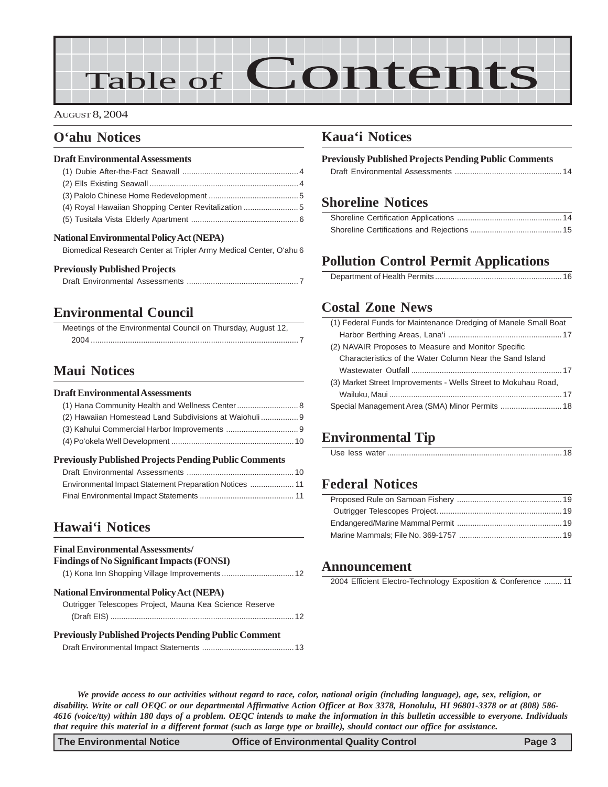# Table of Contents

#### AUGUST 8, 2004

### **O'ahu Notices**

#### **Draft Environmental Assessments**

| (4) Royal Hawaiian Shopping Center Revitalization |  |
|---------------------------------------------------|--|
|                                                   |  |

#### **National Environmental Policy Act (NEPA)**

[Biomedical Research Center at Tripler Army Medical Center, O'ahu 6](#page-5-0)

#### **Previously Published Projects**

### **[Environmental Council](#page-6-0)**

| Meetings of the Environmental Council on Thursday, August 12, |  |
|---------------------------------------------------------------|--|
|                                                               |  |

### **[Maui Notices](#page-7-0)**

#### **Draft Environmental Assessments**

| (2) Hawaiian Homestead Land Subdivisions at Waiohuli |  |
|------------------------------------------------------|--|
|                                                      |  |
|                                                      |  |
|                                                      |  |

### **Previously Published Projects Pending Public Comments**

### **[Hawai'i Notices](#page-11-0)**

| <b>Final Environmental Assessments/</b><br><b>Findings of No Significant Impacts (FONSI)</b> |
|----------------------------------------------------------------------------------------------|
| <b>National Environmental Policy Act (NEPA)</b>                                              |
| Outrigger Telescopes Project, Mauna Kea Science Reserve                                      |
| <b>Previously Published Projects Pending Public Comment</b>                                  |
|                                                                                              |

### **Kaua'i Notices**

| <b>Previously Published Projects Pending Public Comments</b> |  |
|--------------------------------------------------------------|--|
|                                                              |  |

### **[Shoreline Notices](#page-13-0)**

# **Pollution Control Permit Applications**

|--|

### **Costal Zone News**

| (1) Federal Funds for Maintenance Dredging of Manele Small Boat |
|-----------------------------------------------------------------|
|                                                                 |
| (2) NAVAIR Proposes to Measure and Monitor Specific             |
| Characteristics of the Water Column Near the Sand Island        |
|                                                                 |
| (3) Market Street Improvements - Wells Street to Mokuhau Road,  |
|                                                                 |
|                                                                 |
|                                                                 |

# **Environmental Tip**

|--|--|--|--|--|

# **[Federal Notices](#page-18-0)**

### **Announcement**

2004 Efficient Electro-Technology Exposition & Conference ........ 11

*We provide access to our activities without regard to race, color, national origin (including language), age, sex, religion, or disability. Write or call OEQC or our departmental Affirmative Action Officer at Box 3378, Honolulu, HI 96801-3378 or at (808) 586- 4616 (voice/tty) within 180 days of a problem. OEQC intends to make the information in this bulletin accessible to everyone. Individuals that require this material in a different format (such as large type or braille), should contact our office for assistance.*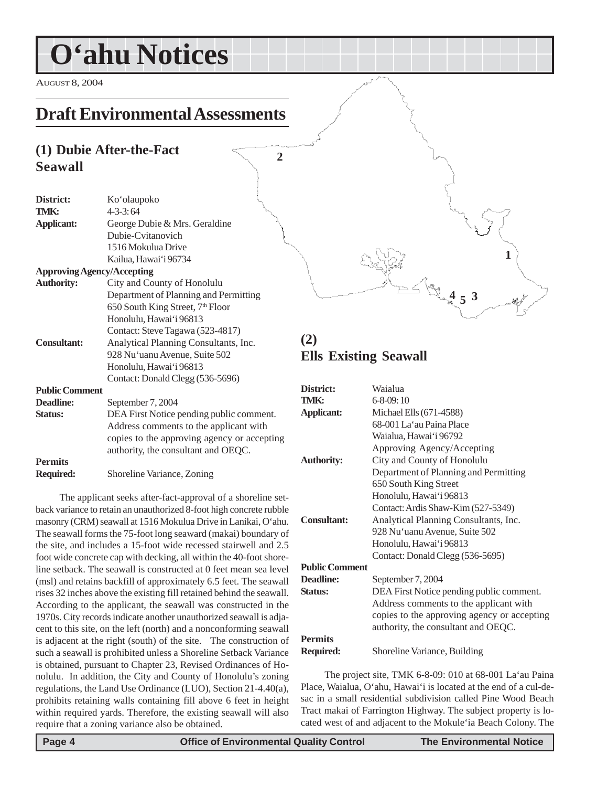<span id="page-3-0"></span>AUGUST 8, 2004

# **Draft Environmental Assessments**

# **(1) Dubie After-the-Fact Seawall**

| District:                         | Ko'olaupoko                                  |
|-----------------------------------|----------------------------------------------|
| TMK:                              | <b>Kympy</b><br>$4 - 3 - 3:64$               |
| <b>Applicant:</b>                 | George Dubie & Mrs. Geraldine                |
|                                   | Dubie-Cvitanovich                            |
|                                   | 1516 Mokulua Drive                           |
|                                   | Kailua, Hawai'i 96734                        |
| <b>Approving Agency/Accepting</b> |                                              |
| <b>Authority:</b>                 | City and County of Honolulu                  |
|                                   | Department of Planning and Permitting        |
|                                   | 650 South King Street, 7 <sup>th</sup> Floor |
|                                   | Honolulu, Hawai'i 96813                      |
|                                   | Contact: Steve Tagawa (523-4817)             |
| <b>Consultant:</b>                | Analytical Planning Consultants, Inc.        |
|                                   | 928 Nu'uanu Avenue, Suite 502                |
|                                   | Honolulu, Hawai'i 96813                      |
|                                   | Contact: Donald Clegg (536-5696)             |
| <b>Public Comment</b>             |                                              |
| <b>Deadline:</b>                  | September 7, 2004                            |
| <b>Status:</b>                    | DEA First Notice pending public comment.     |
|                                   | Address comments to the applicant with       |
|                                   | copies to the approving agency or accepting  |
|                                   | authority, the consultant and OEQC.          |
| <b>Permits</b>                    |                                              |
| <b>Required:</b>                  | Shoreline Variance, Zoning                   |

The applicant seeks after-fact-approval of a shoreline setback variance to retain an unauthorized 8-foot high concrete rubble masonry (CRM) seawall at 1516 Mokulua Drive in Lanikai, O'ahu. The seawall forms the 75-foot long seaward (makai) boundary of the site, and includes a 15-foot wide recessed stairwell and 2.5 foot wide concrete cap with decking, all within the 40-foot shoreline setback. The seawall is constructed at 0 feet mean sea level (msl) and retains backfill of approximately 6.5 feet. The seawall rises 32 inches above the existing fill retained behind the seawall. According to the applicant, the seawall was constructed in the 1970s. City records indicate another unauthorized seawall is adjacent to this site, on the left (north) and a nonconforming seawall is adjacent at the right (south) of the site. The construction of such a seawall is prohibited unless a Shoreline Setback Variance is obtained, pursuant to Chapter 23, Revised Ordinances of Honolulu. In addition, the City and County of Honolulu's zoning regulations, the Land Use Ordinance (LUO), Section 21-4.40(a), prohibits retaining walls containing fill above 6 feet in height within required yards. Therefore, the existing seawall will also require that a zoning variance also be obtained.

# **(2) Ells Existing Seawall**

**2**

| District:             | Waialua                                     |
|-----------------------|---------------------------------------------|
| TMK:                  | $6 - 8 - 09$ : 10                           |
| <b>Applicant:</b>     | Michael Ells (671-4588)                     |
|                       | 68-001 La'au Paina Place                    |
|                       | Waialua, Hawai'i 96792                      |
|                       | Approving Agency/Accepting                  |
| <b>Authority:</b>     | City and County of Honolulu                 |
|                       | Department of Planning and Permitting       |
|                       | 650 South King Street                       |
|                       | Honolulu, Hawai'i 96813                     |
|                       | Contact: Ardis Shaw-Kim (527-5349)          |
| <b>Consultant:</b>    | Analytical Planning Consultants, Inc.       |
|                       | 928 Nu'uanu Avenue, Suite 502               |
|                       | Honolulu, Hawai'i 96813                     |
|                       | Contact: Donald Clegg (536-5695)            |
| <b>Public Comment</b> |                                             |
| Deadline:             | September 7, 2004                           |
| <b>Status:</b>        | DEA First Notice pending public comment.    |
|                       | Address comments to the applicant with      |
|                       | copies to the approving agency or accepting |
|                       | authority, the consultant and OEQC.         |
| <b>Permits</b>        |                                             |
| Required:             | Shoreline Variance, Building                |

The project site, TMK 6-8-09: 010 at 68-001 La'au Paina Place, Waialua, O'ahu, Hawai'i is located at the end of a cul-desac in a small residential subdivision called Pine Wood Beach Tract makai of Farrington Highway. The subject property is located west of and adjacent to the Mokule'ia Beach Colony. The

**1**

 $\frac{1}{2}$   $\frac{4}{5}$  3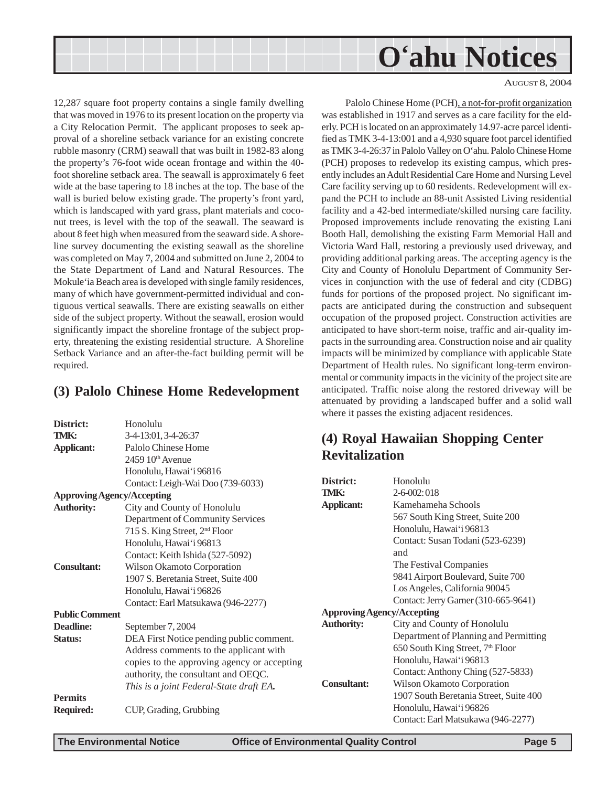#### AUGUST 8, 2004

<span id="page-4-0"></span>12,287 square foot property contains a single family dwelling that was moved in 1976 to its present location on the property via a City Relocation Permit. The applicant proposes to seek approval of a shoreline setback variance for an existing concrete rubble masonry (CRM) seawall that was built in 1982-83 along the property's 76-foot wide ocean frontage and within the 40 foot shoreline setback area. The seawall is approximately 6 feet wide at the base tapering to 18 inches at the top. The base of the wall is buried below existing grade. The property's front yard, which is landscaped with yard grass, plant materials and coconut trees, is level with the top of the seawall. The seaward is about 8 feet high when measured from the seaward side. A shoreline survey documenting the existing seawall as the shoreline was completed on May 7, 2004 and submitted on June 2, 2004 to the State Department of Land and Natural Resources. The Mokule'ia Beach area is developed with single family residences, many of which have government-permitted individual and contiguous vertical seawalls. There are existing seawalls on either side of the subject property. Without the seawall, erosion would significantly impact the shoreline frontage of the subject property, threatening the existing residential structure. A Shoreline Setback Variance and an after-the-fact building permit will be required.

### **(3) Palolo Chinese Home Redevelopment**

|                       |                                             |                       | where it passes the existing adjac |
|-----------------------|---------------------------------------------|-----------------------|------------------------------------|
| District:             | Honolulu                                    |                       |                                    |
| TMK:                  | 3-4-13:01, 3-4-26:37                        |                       |                                    |
| <b>Applicant:</b>     | Palolo Chinese Home                         | (4) Royal Hawaiian Sh |                                    |
|                       | 2459 10th Avenue                            | <b>Revitalization</b> |                                    |
|                       | Honolulu, Hawai'i 96816                     |                       |                                    |
|                       | Contact: Leigh-Wai Doo (739-6033)           | District:             | Honolulu                           |
|                       | <b>Approving Agency/Accepting</b>           | TMK:                  | $2 - 6 - 002:018$                  |
| <b>Authority:</b>     | City and County of Honolulu                 | <b>Applicant:</b>     | Kamehameha S                       |
|                       | Department of Community Services            |                       | 567 South King                     |
|                       | 715 S. King Street, 2 <sup>nd</sup> Floor   |                       | Honolulu, Hawa                     |
|                       | Honolulu, Hawai'i 96813                     |                       | Contact: Susan'                    |
|                       | Contact: Keith Ishida (527-5092)            |                       | and                                |
| <b>Consultant:</b>    | Wilson Okamoto Corporation                  |                       | The Festival Co                    |
|                       | 1907 S. Beretania Street, Suite 400         |                       | 9841 Airport Bo                    |
|                       | Honolulu, Hawai'i 96826                     |                       | Los Angeles, Ca                    |
|                       | Contact: Earl Matsukawa (946-2277)          |                       | Contact: Jerry G                   |
| <b>Public Comment</b> |                                             |                       | <b>Approving Agency/Accepting</b>  |
| <b>Deadline:</b>      | September 7, 2004                           | <b>Authority:</b>     | City and Count                     |
| Status:               | DEA First Notice pending public comment.    |                       | Department of I                    |
|                       | Address comments to the applicant with      |                       | 650 South King                     |
|                       | copies to the approving agency or accepting |                       | Honolulu, Hawa                     |
|                       | authority, the consultant and OEQC.         |                       | Contact: Anthor                    |
|                       | This is a joint Federal-State draft EA.     | <b>Consultant:</b>    | Wilson Okamot                      |
| <b>Permits</b>        |                                             |                       | 1907 South Ber                     |
| <b>Required:</b>      | CUP, Grading, Grubbing                      |                       | Honolulu, Hawa                     |
|                       |                                             |                       | Contact: Earl M                    |
|                       |                                             |                       |                                    |

Palolo Chinese Home (PCH), a not-for-profit organization was established in 1917 and serves as a care facility for the elderly. PCH is located on an approximately 14.97-acre parcel identified as TMK 3-4-13:001 and a 4,930 square foot parcel identified as TMK 3-4-26:37 in Palolo Valley on O'ahu. Palolo Chinese Home (PCH) proposes to redevelop its existing campus, which presently includes an Adult Residential Care Home and Nursing Level Care facility serving up to 60 residents. Redevelopment will expand the PCH to include an 88-unit Assisted Living residential facility and a 42-bed intermediate/skilled nursing care facility. Proposed improvements include renovating the existing Lani Booth Hall, demolishing the existing Farm Memorial Hall and Victoria Ward Hall, restoring a previously used driveway, and providing additional parking areas. The accepting agency is the City and County of Honolulu Department of Community Services in conjunction with the use of federal and city (CDBG) funds for portions of the proposed project. No significant impacts are anticipated during the construction and subsequent occupation of the proposed project. Construction activities are anticipated to have short-term noise, traffic and air-quality impacts in the surrounding area. Construction noise and air quality impacts will be minimized by compliance with applicable State Department of Health rules. No significant long-term environmental or community impacts in the vicinity of the project site are anticipated. Traffic noise along the restored driveway will be attenuated by providing a landscaped buffer and a solid wall ent residences.

# **(4) Appling Center**

| District:                         | Honolulu                                     |
|-----------------------------------|----------------------------------------------|
| TMK:                              | $2 - 6 - 002$ : 018                          |
| <b>Applicant:</b>                 | Kamehameha Schools                           |
|                                   | 567 South King Street, Suite 200             |
|                                   | Honolulu, Hawai'i 96813                      |
|                                   | Contact: Susan Todani (523-6239)             |
|                                   | and                                          |
|                                   | The Festival Companies                       |
|                                   | 9841 Airport Boulevard, Suite 700            |
|                                   | Los Angeles, California 90045                |
|                                   | Contact: Jerry Garner (310-665-9641)         |
| <b>Approving Agency/Accepting</b> |                                              |
| <b>Authority:</b>                 | City and County of Honolulu                  |
|                                   | Department of Planning and Permitting        |
|                                   | 650 South King Street, 7 <sup>th</sup> Floor |
|                                   | Honolulu, Hawai'i 96813                      |
|                                   | Contact: Anthony Ching (527-5833)            |
| <b>Consultant:</b>                | Wilson Okamoto Corporation                   |
|                                   | 1907 South Beretania Street, Suite 400       |
|                                   | Honolulu, Hawai'i 96826                      |
|                                   | Contact: Earl Matsukawa (946-2277)           |
|                                   |                                              |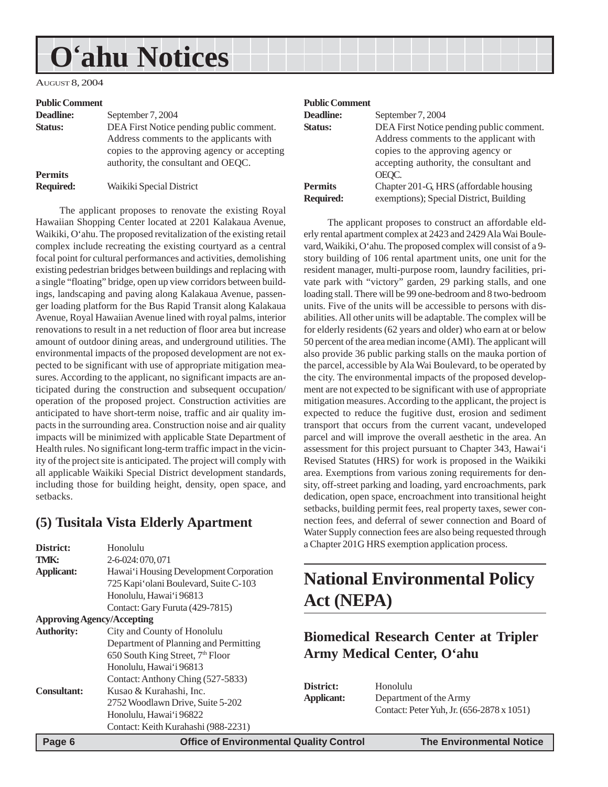<span id="page-5-0"></span>AUGUST 8, 2004

#### **Public Comment**

| September 7, 2004                           |
|---------------------------------------------|
| DEA First Notice pending public comment.    |
| Address comments to the applicants with     |
| copies to the approving agency or accepting |
| authority, the consultant and OEQC.         |
|                                             |
| Waikiki Special District                    |
|                                             |

The applicant proposes to renovate the existing Royal Hawaiian Shopping Center located at 2201 Kalakaua Avenue, Waikiki, O'ahu. The proposed revitalization of the existing retail complex include recreating the existing courtyard as a central focal point for cultural performances and activities, demolishing existing pedestrian bridges between buildings and replacing with a single "floating" bridge, open up view corridors between buildings, landscaping and paving along Kalakaua Avenue, passenger loading platform for the Bus Rapid Transit along Kalakaua Avenue, Royal Hawaiian Avenue lined with royal palms, interior renovations to result in a net reduction of floor area but increase amount of outdoor dining areas, and underground utilities. The environmental impacts of the proposed development are not expected to be significant with use of appropriate mitigation measures. According to the applicant, no significant impacts are anticipated during the construction and subsequent occupation/ operation of the proposed project. Construction activities are anticipated to have short-term noise, traffic and air quality impacts in the surrounding area. Construction noise and air quality impacts will be minimized with applicable State Department of Health rules. No significant long-term traffic impact in the vicinity of the project site is anticipated. The project will comply with all applicable Waikiki Special District development standards, including those for building height, density, open space, and setbacks.

### **(5) Tusitala Vista Elderly Apartment**

| District:                         | Honolulu                                     |
|-----------------------------------|----------------------------------------------|
| TMK:                              | 2-6-024:070,071                              |
| <b>Applicant:</b>                 | Hawai'i Housing Development Corporation      |
|                                   | 725 Kapi 'olani Boulevard, Suite C-103       |
|                                   | Honolulu, Hawai'i 96813                      |
|                                   | Contact: Gary Furuta (429-7815)              |
| <b>Approving Agency/Accepting</b> |                                              |
| <b>Authority:</b>                 | City and County of Honolulu                  |
|                                   | Department of Planning and Permitting        |
|                                   | 650 South King Street, 7 <sup>th</sup> Floor |
|                                   | Honolulu, Hawai'i 96813                      |
|                                   | Contact: Anthony Ching (527-5833)            |
| <b>Consultant:</b>                | Kusao & Kurahashi, Inc.                      |
|                                   | 2752 Woodlawn Drive, Suite 5-202             |
|                                   | Honolulu, Hawai'i 96822                      |
|                                   | Contact: Keith Kurahashi (988-2231)          |

#### **Public Comment**

| Deadline:        | September 7, 2004                        |
|------------------|------------------------------------------|
| Status:          | DEA First Notice pending public comment. |
|                  | Address comments to the applicant with   |
|                  | copies to the approving agency or        |
|                  | accepting authority, the consultant and  |
|                  | OEOC.                                    |
| <b>Permits</b>   | Chapter 201-G, HRS (affordable housing   |
| <b>Required:</b> | exemptions); Special District, Building  |
|                  |                                          |

The applicant proposes to construct an affordable elderly rental apartment complex at 2423 and 2429 Ala Wai Boulevard, Waikiki, O'ahu. The proposed complex will consist of a 9 story building of 106 rental apartment units, one unit for the resident manager, multi-purpose room, laundry facilities, private park with "victory" garden, 29 parking stalls, and one loading stall. There will be 99 one-bedroom and 8 two-bedroom units. Five of the units will be accessible to persons with disabilities. All other units will be adaptable. The complex will be for elderly residents (62 years and older) who earn at or below 50 percent of the area median income (AMI). The applicant will also provide 36 public parking stalls on the mauka portion of the parcel, accessible by Ala Wai Boulevard, to be operated by the city. The environmental impacts of the proposed development are not expected to be significant with use of appropriate mitigation measures. According to the applicant, the project is expected to reduce the fugitive dust, erosion and sediment transport that occurs from the current vacant, undeveloped parcel and will improve the overall aesthetic in the area. An assessment for this project pursuant to Chapter 343, Hawai'i Revised Statutes (HRS) for work is proposed in the Waikiki area. Exemptions from various zoning requirements for density, off-street parking and loading, yard encroachments, park dedication, open space, encroachment into transitional height setbacks, building permit fees, real property taxes, sewer connection fees, and deferral of sewer connection and Board of Water Supply connection fees are also being requested through a Chapter 201G HRS exemption application process.

# **National Environmental Policy Act (NEPA)**

# **Biomedical Research Center at Tripler Army Medical Center, O'ahu**

| District:  | Honolulu                                  |
|------------|-------------------------------------------|
| Applicant: | Department of the Army                    |
|            | Contact: Peter Yuh, Jr. (656-2878 x 1051) |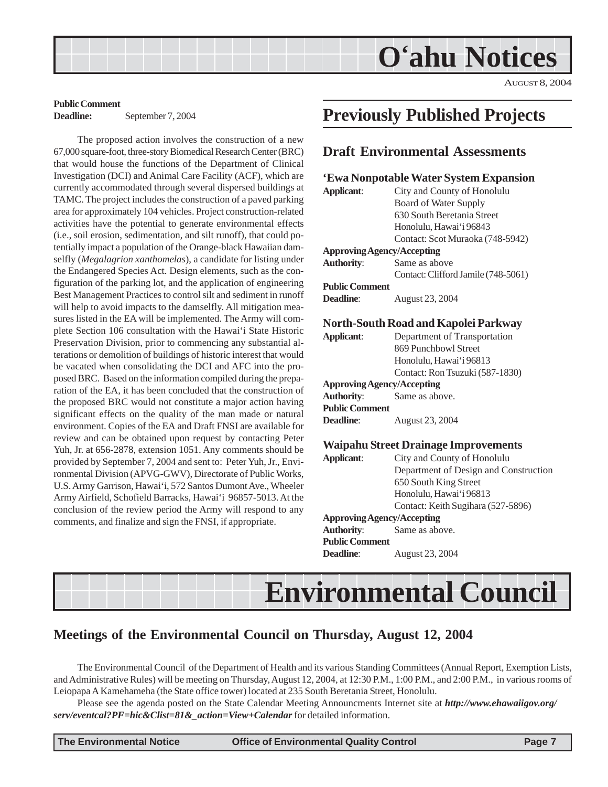AUGUST 8, 2004

### <span id="page-6-0"></span>**Public Comment Deadline:** September 7, 2004

The proposed action involves the construction of a new 67,000 square-foot, three-story Biomedical Research Center (BRC) that would house the functions of the Department of Clinical Investigation (DCI) and Animal Care Facility (ACF), which are currently accommodated through several dispersed buildings at TAMC. The project includes the construction of a paved parking area for approximately 104 vehicles. Project construction-related activities have the potential to generate environmental effects (i.e., soil erosion, sedimentation, and silt runoff), that could potentially impact a population of the Orange-black Hawaiian damselfly (*Megalagrion xanthomelas*), a candidate for listing under the Endangered Species Act. Design elements, such as the configuration of the parking lot, and the application of engineering Best Management Practices to control silt and sediment in runoff will help to avoid impacts to the damselfly. All mitigation measures listed in the EA will be implemented. The Army will complete Section 106 consultation with the Hawai'i State Historic Preservation Division, prior to commencing any substantial alterations or demolition of buildings of historic interest that would be vacated when consolidating the DCI and AFC into the proposed BRC. Based on the information compiled during the preparation of the EA, it has been concluded that the construction of the proposed BRC would not constitute a major action having significant effects on the quality of the man made or natural environment. Copies of the EA and Draft FNSI are available for review and can be obtained upon request by contacting Peter Yuh, Jr. at 656-2878, extension 1051. Any comments should be provided by September 7, 2004 and sent to: Peter Yuh, Jr., Environmental Division (APVG-GWV), Directorate of Public Works, U.S. Army Garrison, Hawai'i, 572 Santos Dumont Ave., Wheeler Army Airfield, Schofield Barracks, Hawai'i 96857-5013. At the conclusion of the review period the Army will respond to any comments, and finalize and sign the FNSI, if appropriate.

# **Previously Published Projects**

### **Draft Environmental Assessments**

### **'Ewa Nonpotable Water System Expansion**

| <b>Applicant:</b>     | City and County of Honolulu                 |
|-----------------------|---------------------------------------------|
|                       | <b>Board of Water Supply</b>                |
|                       | 630 South Beretania Street                  |
|                       | Honolulu, Hawai'i 96843                     |
|                       | Contact: Scot Muraoka (748-5942)            |
|                       | <b>Approving Agency/Accepting</b>           |
| <b>Authority:</b>     | Same as above                               |
|                       | Contact: Clifford Jamile (748-5061)         |
| <b>Public Comment</b> |                                             |
| Deadline:             | August 23, 2004                             |
|                       | <b>North-South Road and Kapolei Parkway</b> |
| <b>Applicant:</b>     | Department of Transportation                |
|                       | 869 Punchbowl Street                        |
|                       | Honolulu, Hawai'i 96813                     |
|                       | Contact: Ron Tsuzuki (587-1830)             |
|                       | <b>Approving Agency/Accepting</b>           |
| <b>Authority:</b>     | Same as above.                              |
| <b>Public Comment</b> |                                             |
| Deadline:             | August 23, 2004                             |
|                       | <b>Waipahu Street Drainage Improvements</b> |
| <b>Applicant:</b>     | City and County of Honolulu                 |
|                       | Department of Design and Construction       |
|                       | 650 South King Street                       |
|                       | Honolulu, Hawai'i 96813                     |
|                       | Contact: Keith Sugihara (527-5896)          |
|                       | <b>Approving Agency/Accepting</b>           |
| <b>Authority:</b>     | Same as above.                              |
| <b>Public Comment</b> |                                             |
| Deadline:             | August 23, 2004                             |

# **Environmental Council**

# **Meetings of the Environmental Council on Thursday, August 12, 2004**

The Environmental Council of the Department of Health and its various Standing Committees (Annual Report, Exemption Lists, and Administrative Rules) will be meeting on Thursday, August 12, 2004, at 12:30 P.M., 1:00 P.M., and 2:00 P.M., in various rooms of Leiopapa A Kamehameha (the State office tower) located at 235 South Beretania Street, Honolulu.

Please see the agenda posted on the State Calendar Meeting Announcments Internet site at *http://www.ehawaiigov.org/ serv/eventcal?PF=hic&Clist=81&\_action=View+Calendar* for detailed information.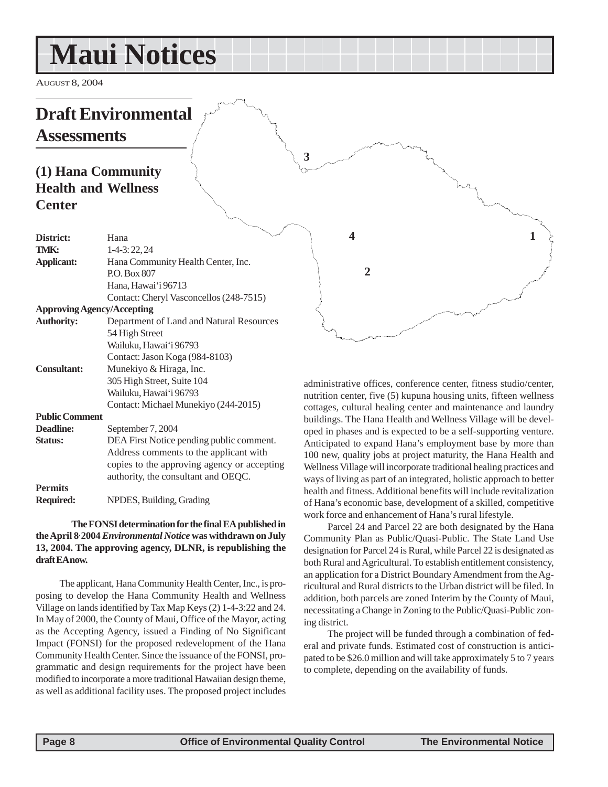# <span id="page-7-0"></span>**Maui Notices**

AUGUST 8, 2004

# **Draft Environmental Assessments**

# **(1) Hana Community Health and Wellness Center**

| District:             | Hana                                        |
|-----------------------|---------------------------------------------|
| TMK:                  | 1-4-3:22,24                                 |
| <b>Applicant:</b>     | Hana Community Health Center, Inc.          |
|                       | P.O. Box 807                                |
|                       | Hana, Hawai'i 96713                         |
|                       | Contact: Cheryl Vasconcellos (248-7515)     |
|                       | <b>Approving Agency/Accepting</b>           |
| <b>Authority:</b>     | Department of Land and Natural Resources    |
|                       | 54 High Street                              |
|                       | Wailuku, Hawai'i 96793                      |
|                       | Contact: Jason Koga (984-8103)              |
| <b>Consultant:</b>    | Munekiyo & Hiraga, Inc.                     |
|                       | 305 High Street, Suite 104                  |
|                       | Wailuku, Hawai'i 96793                      |
|                       | Contact: Michael Munekiyo (244-2015)        |
| <b>Public Comment</b> |                                             |
| Deadline:             | September 7, 2004                           |
| <b>Status:</b>        | DEA First Notice pending public comment.    |
|                       | Address comments to the applicant with      |
|                       | copies to the approving agency or accepting |
|                       | authority, the consultant and OEQC.         |
| <b>Permits</b>        |                                             |
| <b>Required:</b>      | NPDES, Building, Grading                    |
|                       |                                             |

#### **The FONSI determination for the final EA published in the April 8, 2004** *Environmental Notice* **was withdrawn on July 13, 2004. The approving agency, DLNR, is republishing the draft EA now.**

The applicant, Hana Community Health Center, Inc., is proposing to develop the Hana Community Health and Wellness Village on lands identified by Tax Map Keys (2) 1-4-3:22 and 24. In May of 2000, the County of Maui, Office of the Mayor, acting as the Accepting Agency, issued a Finding of No Significant Impact (FONSI) for the proposed redevelopment of the Hana Community Health Center. Since the issuance of the FONSI, programmatic and design requirements for the project have been modified to incorporate a more traditional Hawaiian design theme, as well as additional facility uses. The proposed project includes

administrative offices, conference center, fitness studio/center, nutrition center, five (5) kupuna housing units, fifteen wellness cottages, cultural healing center and maintenance and laundry buildings. The Hana Health and Wellness Village will be developed in phases and is expected to be a self-supporting venture. Anticipated to expand Hana's employment base by more than 100 new, quality jobs at project maturity, the Hana Health and Wellness Village will incorporate traditional healing practices and ways of living as part of an integrated, holistic approach to better health and fitness. Additional benefits will include revitalization of Hana's economic base, development of a skilled, competitive work force and enhancement of Hana's rural lifestyle.

**2**

**4**

**3**

**1**

Parcel 24 and Parcel 22 are both designated by the Hana Community Plan as Public/Quasi-Public. The State Land Use designation for Parcel 24 is Rural, while Parcel 22 is designated as both Rural and Agricultural. To establish entitlement consistency, an application for a District Boundary Amendment from the Agricultural and Rural districts to the Urban district will be filed. In addition, both parcels are zoned Interim by the County of Maui, necessitating a Change in Zoning to the Public/Quasi-Public zoning district.

The project will be funded through a combination of federal and private funds. Estimated cost of construction is anticipated to be \$26.0 million and will take approximately 5 to 7 years to complete, depending on the availability of funds.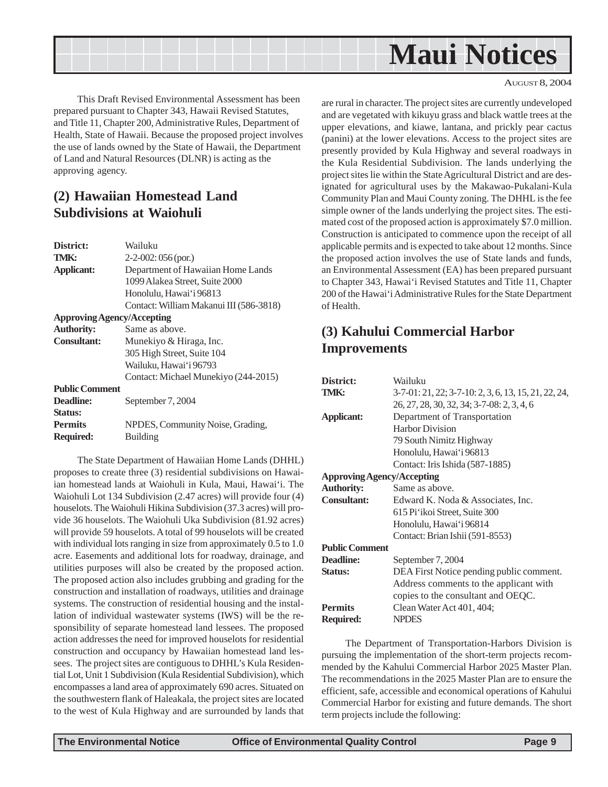<span id="page-8-0"></span>

AUGUST 8, 2004

This Draft Revised Environmental Assessment has been prepared pursuant to Chapter 343, Hawaii Revised Statutes, and Title 11, Chapter 200, Administrative Rules, Department of Health, State of Hawaii. Because the proposed project involves the use of lands owned by the State of Hawaii, the Department of Land and Natural Resources (DLNR) is acting as the approving agency.

# **(2) Hawaiian Homestead Land Subdivisions at Waiohuli**

| District:                         | Wailuku                                 |
|-----------------------------------|-----------------------------------------|
| TMK:                              | $2-2-002:056$ (por.)                    |
| <b>Applicant:</b>                 | Department of Hawaiian Home Lands       |
|                                   | 1099 Alakea Street, Suite 2000          |
|                                   | Honolulu, Hawai'i 96813                 |
|                                   | Contact: William Makanui III (586-3818) |
| <b>Approving Agency/Accepting</b> |                                         |
| <b>Authority:</b>                 | Same as above.                          |
| <b>Consultant:</b>                | Munekiyo & Hiraga, Inc.                 |
|                                   | 305 High Street, Suite 104              |
|                                   | Wailuku, Hawai'i 96793                  |
|                                   | Contact: Michael Munekiyo (244-2015)    |
| <b>Public Comment</b>             |                                         |
| Deadline:                         | September 7, 2004                       |
| <b>Status:</b>                    |                                         |
| <b>Permits</b>                    | NPDES, Community Noise, Grading,        |
| <b>Required:</b>                  | <b>Building</b>                         |

The State Department of Hawaiian Home Lands (DHHL) proposes to create three (3) residential subdivisions on Hawaiian homestead lands at Waiohuli in Kula, Maui, Hawai'i. The Waiohuli Lot 134 Subdivision (2.47 acres) will provide four (4) houselots. The Waiohuli Hikina Subdivision (37.3 acres) will provide 36 houselots. The Waiohuli Uka Subdivision (81.92 acres) will provide 59 houselots. A total of 99 houselots will be created with individual lots ranging in size from approximately  $0.5$  to  $1.0$ acre. Easements and additional lots for roadway, drainage, and utilities purposes will also be created by the proposed action. The proposed action also includes grubbing and grading for the construction and installation of roadways, utilities and drainage systems. The construction of residential housing and the installation of individual wastewater systems (IWS) will be the responsibility of separate homestead land lessees. The proposed action addresses the need for improved houselots for residential construction and occupancy by Hawaiian homestead land lessees. The project sites are contiguous to DHHL's Kula Residential Lot, Unit 1 Subdivision (Kula Residential Subdivision), which encompasses a land area of approximately 690 acres. Situated on the southwestern flank of Haleakala, the project sites are located to the west of Kula Highway and are surrounded by lands that are rural in character. The project sites are currently undeveloped and are vegetated with kikuyu grass and black wattle trees at the upper elevations, and kiawe, lantana, and prickly pear cactus (panini) at the lower elevations. Access to the project sites are presently provided by Kula Highway and several roadways in the Kula Residential Subdivision. The lands underlying the project sites lie within the State Agricultural District and are designated for agricultural uses by the Makawao-Pukalani-Kula Community Plan and Maui County zoning. The DHHL is the fee simple owner of the lands underlying the project sites. The estimated cost of the proposed action is approximately \$7.0 million. Construction is anticipated to commence upon the receipt of all applicable permits and is expected to take about 12 months. Since the proposed action involves the use of State lands and funds, an Environmental Assessment (EA) has been prepared pursuant to Chapter 343, Hawai'i Revised Statutes and Title 11, Chapter 200 of the Hawai'i Administrative Rules for the State Department of Health.

# **(3) Kahului Commercial Harbor Improvements**

| Wailuku                                              |  |  |
|------------------------------------------------------|--|--|
| 3-7-01: 21, 22; 3-7-10: 2, 3, 6, 13, 15, 21, 22, 24, |  |  |
| 26, 27, 28, 30, 32, 34; 3-7-08: 2, 3, 4, 6           |  |  |
| Department of Transportation                         |  |  |
| <b>Harbor Division</b>                               |  |  |
| 79 South Nimitz Highway                              |  |  |
| Honolulu, Hawai'i 96813                              |  |  |
| Contact: Iris Ishida (587-1885)                      |  |  |
| <b>Approving Agency/Accepting</b>                    |  |  |
| Same as above.                                       |  |  |
| Edward K. Noda & Associates, Inc.                    |  |  |
| 615 Pi'ikoi Street, Suite 300                        |  |  |
| Honolulu, Hawai'i 96814                              |  |  |
| Contact: Brian Ishii (591-8553)                      |  |  |
| <b>Public Comment</b>                                |  |  |
| September 7, 2004                                    |  |  |
| DEA First Notice pending public comment.             |  |  |
| Address comments to the applicant with               |  |  |
| copies to the consultant and OEQC.                   |  |  |
| Clean Water Act 401, 404;                            |  |  |
| <b>NPDES</b>                                         |  |  |
|                                                      |  |  |

The Department of Transportation-Harbors Division is pursuing the implementation of the short-term projects recommended by the Kahului Commercial Harbor 2025 Master Plan. The recommendations in the 2025 Master Plan are to ensure the efficient, safe, accessible and economical operations of Kahului Commercial Harbor for existing and future demands. The short term projects include the following: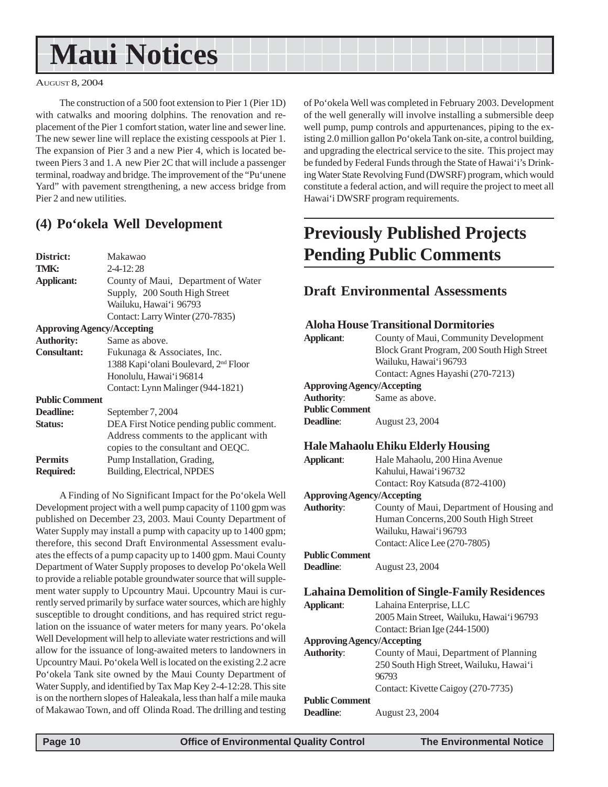# <span id="page-9-0"></span>**Maui Notices**

#### AUGUST 8, 2004

The construction of a 500 foot extension to Pier 1 (Pier 1D) with catwalks and mooring dolphins. The renovation and replacement of the Pier 1 comfort station, water line and sewer line. The new sewer line will replace the existing cesspools at Pier 1. The expansion of Pier 3 and a new Pier 4, which is located between Piers 3 and 1. A new Pier 2C that will include a passenger terminal, roadway and bridge. The improvement of the "Pu'unene Yard" with pavement strengthening, a new access bridge from Pier 2 and new utilities.

### **(4) Po'okela Well Development**

| District:                         | Makawao                                          |  |  |  |  |
|-----------------------------------|--------------------------------------------------|--|--|--|--|
| TMK:                              | $2 - 4 - 12:28$                                  |  |  |  |  |
| <b>Applicant:</b>                 | County of Maui, Department of Water              |  |  |  |  |
|                                   | Supply, 200 South High Street                    |  |  |  |  |
|                                   | Wailuku, Hawai'i 96793                           |  |  |  |  |
|                                   | Contact: Larry Winter (270-7835)                 |  |  |  |  |
| <b>Approving Agency/Accepting</b> |                                                  |  |  |  |  |
| <b>Authority:</b>                 | Same as above.                                   |  |  |  |  |
| <b>Consultant:</b>                | Fukunaga & Associates, Inc.                      |  |  |  |  |
|                                   | 1388 Kapi'olani Boulevard, 2 <sup>nd</sup> Floor |  |  |  |  |
|                                   | Honolulu, Hawai'i 96814                          |  |  |  |  |
|                                   | Contact: Lynn Malinger (944-1821)                |  |  |  |  |
| <b>Public Comment</b>             |                                                  |  |  |  |  |
| Deadline:                         | September 7, 2004                                |  |  |  |  |
| <b>Status:</b>                    | DEA First Notice pending public comment.         |  |  |  |  |
|                                   | Address comments to the applicant with           |  |  |  |  |
|                                   | copies to the consultant and OEQC.               |  |  |  |  |
| <b>Permits</b>                    | Pump Installation, Grading,                      |  |  |  |  |
| <b>Required:</b>                  | Building, Electrical, NPDES                      |  |  |  |  |
|                                   |                                                  |  |  |  |  |

A Finding of No Significant Impact for the Po'okela Well Development project with a well pump capacity of 1100 gpm was published on December 23, 2003. Maui County Department of Water Supply may install a pump with capacity up to 1400 gpm; therefore, this second Draft Environmental Assessment evaluates the effects of a pump capacity up to 1400 gpm. Maui County Department of Water Supply proposes to develop Po'okela Well to provide a reliable potable groundwater source that will supplement water supply to Upcountry Maui. Upcountry Maui is currently served primarily by surface water sources, which are highly susceptible to drought conditions, and has required strict regulation on the issuance of water meters for many years. Po'okela Well Development will help to alleviate water restrictions and will allow for the issuance of long-awaited meters to landowners in Upcountry Maui. Po'okela Well is located on the existing 2.2 acre Po'okela Tank site owned by the Maui County Department of Water Supply, and identified by Tax Map Key 2-4-12:28. This site is on the northern slopes of Haleakala, less than half a mile mauka of Makawao Town, and off Olinda Road. The drilling and testing

of Po'okela Well was completed in February 2003. Development of the well generally will involve installing a submersible deep well pump, pump controls and appurtenances, piping to the existing 2.0 million gallon Po'okela Tank on-site, a control building, and upgrading the electrical service to the site. This project may be funded by Federal Funds through the State of Hawai'i's Drinking Water State Revolving Fund (DWSRF) program, which would constitute a federal action, and will require the project to meet all Hawai'i DWSRF program requirements.

# **Previously Published Projects Pending Public Comments**

### **Draft Environmental Assessments**

### **Aloha House Transitional Dormitories**

| County of Maui, Community Development<br>Block Grant Program, 200 South High Street<br>Wailuku, Hawai'i 96793 |  |  |  |  |
|---------------------------------------------------------------------------------------------------------------|--|--|--|--|
| Contact: Agnes Hayashi (270-7213)                                                                             |  |  |  |  |
| <b>Approving Agency/Accepting</b>                                                                             |  |  |  |  |
| Same as above.                                                                                                |  |  |  |  |
| <b>Public Comment</b>                                                                                         |  |  |  |  |
| August 23, 2004                                                                                               |  |  |  |  |
| <b>Hale Mahaolu Ehiku Elderly Housing</b>                                                                     |  |  |  |  |
| Hale Mahaolu, 200 Hina Avenue                                                                                 |  |  |  |  |
| Kahului, Hawai'i 96732                                                                                        |  |  |  |  |
| Contact: Roy Katsuda (872-4100)                                                                               |  |  |  |  |
| <b>Approving Agency/Accepting</b>                                                                             |  |  |  |  |
|                                                                                                               |  |  |  |  |

**Authority**: County of Maui, Department of Housing and Human Concerns,200 South High Street Wailuku, Hawai'i 96793 Contact: Alice Lee (270-7805)

#### **Public Comment**

**Deadline**: August 23, 2004

| Applicant:                        | Lahaina Enterprise, LLC                  |  |  |  |
|-----------------------------------|------------------------------------------|--|--|--|
|                                   | 2005 Main Street, Wailuku, Hawai'i 96793 |  |  |  |
|                                   | Contact: Brian Ige (244-1500)            |  |  |  |
| <b>Approving Agency/Accepting</b> |                                          |  |  |  |
| <b>Authority:</b>                 | County of Maui, Department of Planning   |  |  |  |
|                                   | 250 South High Street, Wailuku, Hawai'i  |  |  |  |
|                                   | 96793                                    |  |  |  |
|                                   | Contact: Kivette Caigoy (270-7735)       |  |  |  |
| <b>Public Comment</b>             |                                          |  |  |  |
| Deadline:                         | August 23, 2004                          |  |  |  |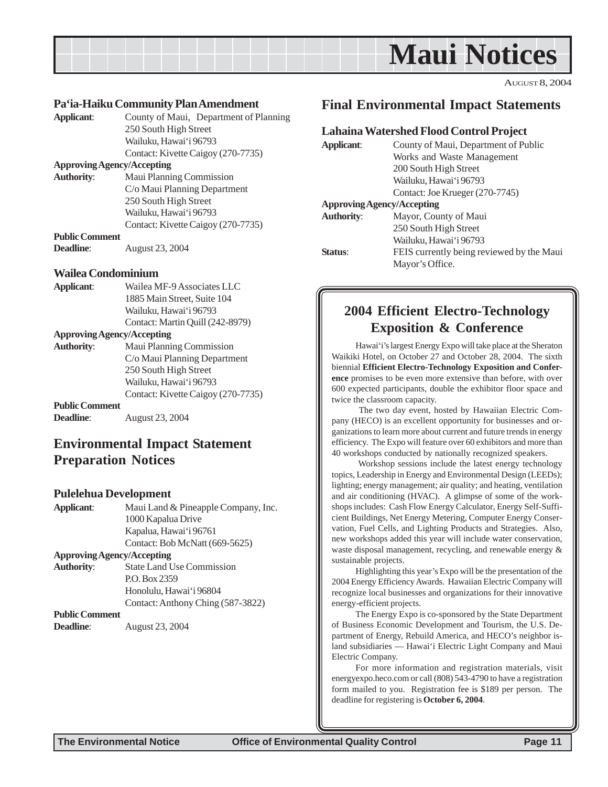<span id="page-10-0"></span>

AUGUST 8, 2004

### **Pa'ia-Haiku Community Plan Amendment**

**Applicant**: County of Maui, Department of Planning 250 South High Street Wailuku, Hawai'i 96793 Contact: Kivette Caigoy (270-7735)

#### **Approving Agency/Accepting**

**Authority**: Maui Planning Commission C/o Maui Planning Department 250 South High Street Wailuku, Hawai'i 96793 Contact: Kivette Caigoy (270-7735) **Public Comment**

**Deadline**: August 23, 2004

### **Wailea Condominium**

| Applicant: | Wailea MF-9 Associates LLC       |
|------------|----------------------------------|
|            | 1885 Main Street, Suite 104      |
|            | Wailuku. Hawai'i 96793           |
|            | Contact: Martin Quill (242-8979) |
|            |                                  |

#### **Approving Agency/Accepting**

**Authority**: Maui Planning Commission C/o Maui Planning Department 250 South High Street Wailuku, Hawai'i 96793 Contact: Kivette Caigoy (270-7735) **Public Comment**

**Deadline**: August 23, 2004

# **Environmental Impact Statement Preparation Notices**

#### **Pulelehua Development**

**Applicant**: Maui Land & Pineapple Company, Inc. 1000 Kapalua Drive Kapalua, Hawai'i 96761 Contact: Bob McNatt (669-5625) **Approving Agency/Accepting**

**Authority**: State Land Use Commission P.O. Box 2359 Honolulu, Hawai'i 96804 Contact: Anthony Ching (587-3822)

### **Public Comment**

**Deadline**: August 23, 2004

### **Final Environmental Impact Statements**

### **Lahaina Watershed Flood Control Project**

| <b>Applicant:</b>                 | County of Maui, Department of Public      |  |  |  |
|-----------------------------------|-------------------------------------------|--|--|--|
|                                   | Works and Waste Management                |  |  |  |
|                                   | 200 South High Street                     |  |  |  |
|                                   | Wailuku, Hawai'i 96793                    |  |  |  |
|                                   | Contact: Joe Krueger (270-7745)           |  |  |  |
| <b>Approving Agency/Accepting</b> |                                           |  |  |  |
| <b>Authority:</b>                 | Mayor, County of Maui                     |  |  |  |
|                                   | 250 South High Street                     |  |  |  |
|                                   | Wailuku, Hawai'i 96793                    |  |  |  |
| Status:                           | FEIS currently being reviewed by the Maui |  |  |  |
|                                   | Mayor's Office.                           |  |  |  |

### **2004 Efficient Electro-Technology Exposition & Conference**

Hawai'i's largest Energy Expo will take place at the Sheraton Waikiki Hotel, on October 27 and October 28, 2004. The sixth biennial **Efficient Electro-Technology Exposition and Conference** promises to be even more extensive than before, with over 600 expected participants, double the exhibitor floor space and twice the classroom capacity.

 The two day event, hosted by Hawaiian Electric Company (HECO) is an excellent opportunity for businesses and organizations to learn more about current and future trends in energy efficiency. The Expo will feature over 60 exhibitors and more than 40 workshops conducted by nationally recognized speakers.

 Workshop sessions include the latest energy technology topics, Leadership in Energy and Environmental Design (LEEDs); lighting; energy management; air quality; and heating, ventilation and air conditioning (HVAC). A glimpse of some of the workshops includes: Cash Flow Energy Calculator, Energy Self-Sufficient Buildings, Net Energy Metering, Computer Energy Conservation, Fuel Cells, and Lighting Products and Strategies. Also, new workshops added this year will include water conservation, waste disposal management, recycling, and renewable energy & sustainable projects.

Highlighting this year's Expo will be the presentation of the 2004 Energy Efficiency Awards. Hawaiian Electric Company will recognize local businesses and organizations for their innovative energy-efficient projects.

The Energy Expo is co-sponsored by the State Department of Business Economic Development and Tourism, the U.S. Department of Energy, Rebuild America, and HECO's neighbor island subsidiaries — Hawai'i Electric Light Company and Maui Electric Company.

For more information and registration materials, visit energyexpo.heco.com or call (808) 543-4790 to have a registration form mailed to you. Registration fee is \$189 per person. The deadline for registering is **October 6, 2004**.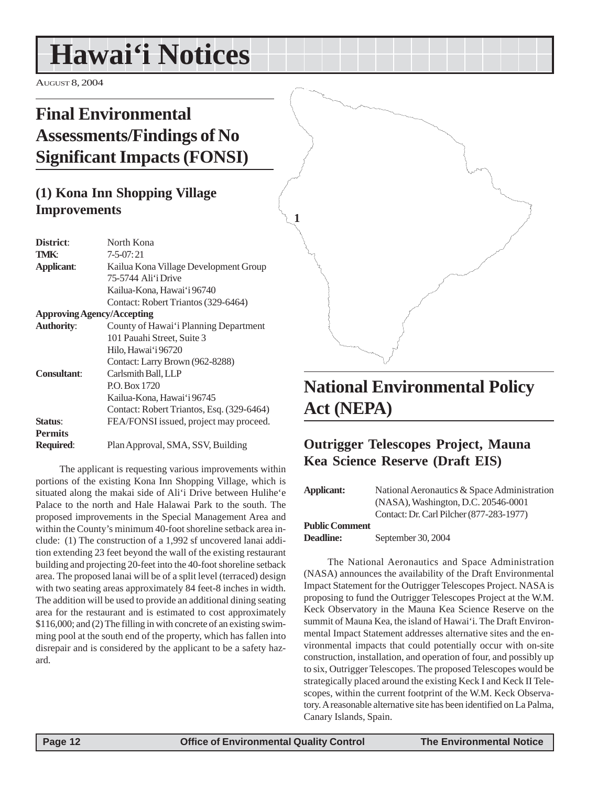# <span id="page-11-0"></span>**Hawai'i Notices**

AUGUST 8, 2004

# **Final Environmental Assessments/Findings of No Significant Impacts (FONSI)**

# **(1) Kona Inn Shopping Village Improvements**

| District:                         | North Kona                                |  |  |
|-----------------------------------|-------------------------------------------|--|--|
| TMK:                              | $7 - 5 - 07:21$                           |  |  |
| <b>Applicant:</b>                 | Kailua Kona Village Development Group     |  |  |
|                                   | 75-5744 Ali'i Drive                       |  |  |
|                                   | Kailua-Kona, Hawai'i 96740                |  |  |
|                                   | Contact: Robert Triantos (329-6464)       |  |  |
| <b>Approving Agency/Accepting</b> |                                           |  |  |
| <b>Authority:</b>                 | County of Hawai'i Planning Department     |  |  |
|                                   | 101 Pauahi Street, Suite 3                |  |  |
|                                   | Hilo, Hawai'i 96720                       |  |  |
|                                   | Contact: Larry Brown (962-8288)           |  |  |
| <b>Consultant:</b>                | Carlsmith Ball, LLP                       |  |  |
|                                   | P.O. Box 1720                             |  |  |
|                                   | Kailua-Kona, Hawai'i 96745                |  |  |
|                                   | Contact: Robert Triantos, Esq. (329-6464) |  |  |
| Status:                           | FEA/FONSI issued, project may proceed.    |  |  |
| <b>Permits</b>                    |                                           |  |  |
| <b>Required:</b>                  | Plan Approval, SMA, SSV, Building         |  |  |

The applicant is requesting various improvements within portions of the existing Kona Inn Shopping Village, which is situated along the makai side of Ali'i Drive between Hulihe'e Palace to the north and Hale Halawai Park to the south. The proposed improvements in the Special Management Area and within the County's minimum 40-foot shoreline setback area include: (1) The construction of a 1,992 sf uncovered lanai addition extending 23 feet beyond the wall of the existing restaurant building and projecting 20-feet into the 40-foot shoreline setback area. The proposed lanai will be of a split level (terraced) design with two seating areas approximately 84 feet-8 inches in width. The addition will be used to provide an additional dining seating area for the restaurant and is estimated to cost approximately \$116,000; and (2) The filling in with concrete of an existing swimming pool at the south end of the property, which has fallen into disrepair and is considered by the applicant to be a safety hazard.



**1**

# **National Environmental Policy Act (NEPA)**

# **Outrigger Telescopes Project, Mauna Kea Science Reserve (Draft EIS)**

| Applicant:            | National Aeronautics & Space Administration<br>(NASA), Washington, D.C. 20546-0001 |
|-----------------------|------------------------------------------------------------------------------------|
| <b>Public Comment</b> | Contact: Dr. Carl Pilcher (877-283-1977)                                           |

**Deadline:** September 30, 2004

The National Aeronautics and Space Administration (NASA) announces the availability of the Draft Environmental Impact Statement for the Outrigger Telescopes Project. NASA is proposing to fund the Outrigger Telescopes Project at the W.M. Keck Observatory in the Mauna Kea Science Reserve on the summit of Mauna Kea, the island of Hawai'i. The Draft Environmental Impact Statement addresses alternative sites and the environmental impacts that could potentially occur with on-site construction, installation, and operation of four, and possibly up to six, Outrigger Telescopes. The proposed Telescopes would be strategically placed around the existing Keck I and Keck II Telescopes, within the current footprint of the W.M. Keck Observatory. A reasonable alternative site has been identified on La Palma, Canary Islands, Spain.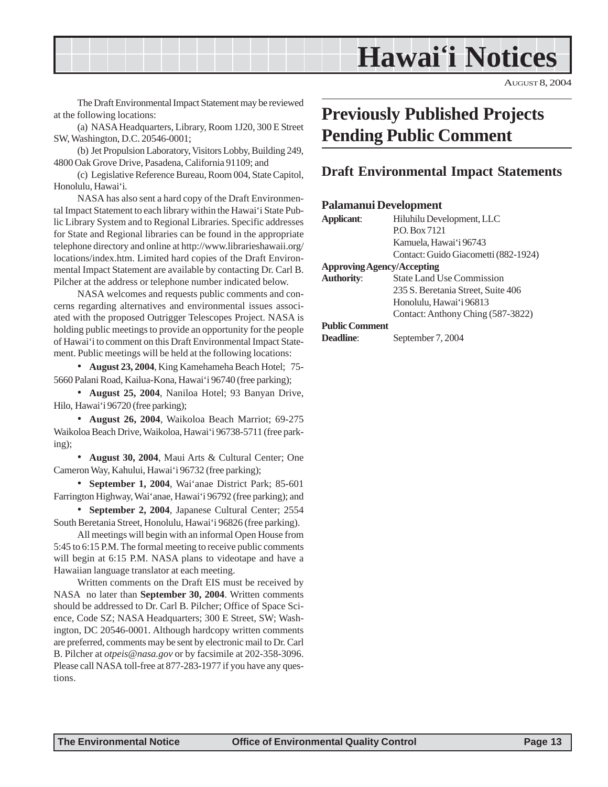# **Hawai'i Notices**

AUGUST 8, 2004

<span id="page-12-0"></span>The Draft Environmental Impact Statement may be reviewed at the following locations:

(a) NASA Headquarters, Library, Room 1J20, 300 E Street SW, Washington, D.C. 20546-0001;

(b) Jet Propulsion Laboratory, Visitors Lobby, Building 249, 4800 Oak Grove Drive, Pasadena, California 91109; and

(c) Legislative Reference Bureau, Room 004, State Capitol, Honolulu, Hawai'i.

NASA has also sent a hard copy of the Draft Environmental Impact Statement to each library within the Hawai'i State Public Library System and to Regional Libraries. Specific addresses for State and Regional libraries can be found in the appropriate telephone directory and online at http://www.librarieshawaii.org/ locations/index.htm. Limited hard copies of the Draft Environmental Impact Statement are available by contacting Dr. Carl B. Pilcher at the address or telephone number indicated below.

NASA welcomes and requests public comments and concerns regarding alternatives and environmental issues associated with the proposed Outrigger Telescopes Project. NASA is holding public meetings to provide an opportunity for the people of Hawai'i to comment on this Draft Environmental Impact Statement. Public meetings will be held at the following locations:

• **August 23, 2004**, King Kamehameha Beach Hotel; 75- 5660 Palani Road, Kailua-Kona, Hawai'i 96740 (free parking);

• **August 25, 2004**, Naniloa Hotel; 93 Banyan Drive, Hilo, Hawai'i 96720 (free parking);

• **August 26, 2004**, Waikoloa Beach Marriot; 69-275 Waikoloa Beach Drive, Waikoloa, Hawai'i 96738-5711 (free parking);

• **August 30, 2004**, Maui Arts & Cultural Center; One Cameron Way, Kahului, Hawai'i 96732 (free parking);

• **September 1, 2004**, Wai'anae District Park; 85-601 Farrington Highway, Wai'anae, Hawai'i 96792 (free parking); and

• **September 2, 2004**, Japanese Cultural Center; 2554 South Beretania Street, Honolulu, Hawai'i 96826 (free parking).

All meetings will begin with an informal Open House from 5:45 to 6:15 P.M. The formal meeting to receive public comments will begin at 6:15 P.M. NASA plans to videotape and have a Hawaiian language translator at each meeting.

Written comments on the Draft EIS must be received by NASA no later than **September 30, 2004**. Written comments should be addressed to Dr. Carl B. Pilcher; Office of Space Science, Code SZ; NASA Headquarters; 300 E Street, SW; Washington, DC 20546-0001. Although hardcopy written comments are preferred, comments may be sent by electronic mail to Dr. Carl B. Pilcher at *otpeis@nasa.gov* or by facsimile at 202-358-3096. Please call NASA toll-free at 877-283-1977 if you have any questions.

# **Previously Published Projects Pending Public Comment**

### **Draft Environmental Impact Statements**

#### **Palamanui Development**

| Applicant:                        | Hiluhilu Development, LLC            |  |  |
|-----------------------------------|--------------------------------------|--|--|
|                                   | P.O. Box 7121                        |  |  |
|                                   | Kamuela, Hawai'i 96743               |  |  |
|                                   | Contact: Guido Giacometti (882-1924) |  |  |
| <b>Approving Agency/Accepting</b> |                                      |  |  |
| <b>Authority:</b>                 | <b>State Land Use Commission</b>     |  |  |
|                                   | 235 S. Beretania Street, Suite 406   |  |  |
|                                   | Honolulu, Hawai'i 96813              |  |  |
|                                   | Contact: Anthony Ching (587-3822)    |  |  |
| <b>Public Comment</b>             |                                      |  |  |
| <b>Deadline:</b>                  | September 7, 2004                    |  |  |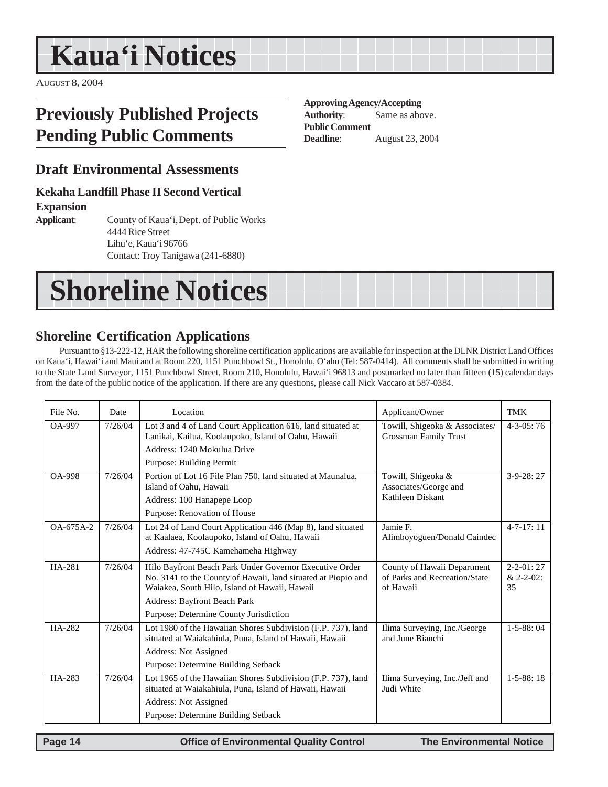# <span id="page-13-0"></span>**Kaua'i Notices**

AUGUST 8, 2004

# **Previously Published Projects Pending Public Comments**

### **Draft Environmental Assessments**

### **Kekaha Landfill Phase II Second Vertical**

**Expansion**

**Applicant**: County of Kaua'i,Dept. of Public Works 4444 Rice Street Lihu'e, Kaua'i 96766 Contact: Troy Tanigawa (241-6880)

# **Shoreline Notices**

# **Shoreline Certification Applications**

Pursuant to §13-222-12, HAR the following shoreline certification applications are available for inspection at the DLNR District Land Offices on Kaua'i, Hawai'i and Maui and at Room 220, 1151 Punchbowl St., Honolulu, O'ahu (Tel: 587-0414). All comments shall be submitted in writing to the State Land Surveyor, 1151 Punchbowl Street, Room 210, Honolulu, Hawai'i 96813 and postmarked no later than fifteen (15) calendar days from the date of the public notice of the application. If there are any questions, please call Nick Vaccaro at 587-0384.

| File No.      | Date    | Location                                                                                                                                                                  | Applicant/Owner                                                           | <b>TMK</b>                              |
|---------------|---------|---------------------------------------------------------------------------------------------------------------------------------------------------------------------------|---------------------------------------------------------------------------|-----------------------------------------|
| OA-997        | 7/26/04 | Lot 3 and 4 of Land Court Application 616, land situated at<br>Lanikai, Kailua, Koolaupoko, Island of Oahu, Hawaii                                                        | Towill, Shigeoka & Associates/<br>Grossman Family Trust                   | $4 - 3 - 0.5$ : 76                      |
|               |         | Address: 1240 Mokulua Drive                                                                                                                                               |                                                                           |                                         |
|               |         | Purpose: Building Permit                                                                                                                                                  |                                                                           |                                         |
| <b>OA-998</b> | 7/26/04 | Portion of Lot 16 File Plan 750, land situated at Maunalua,<br>Island of Oahu. Hawaii                                                                                     | Towill, Shigeoka &<br>Associates/George and                               | $3-9-28:27$                             |
|               |         | Address: 100 Hanapepe Loop                                                                                                                                                | Kathleen Diskant                                                          |                                         |
|               |         | Purpose: Renovation of House                                                                                                                                              |                                                                           |                                         |
| $OA-675A-2$   | 7/26/04 | Lot 24 of Land Court Application 446 (Map 8), land situated<br>at Kaalaea, Koolaupoko, Island of Oahu, Hawaii                                                             | Jamie F.<br>Alimboyoguen/Donald Caindec                                   | $4 - 7 - 17$ : 11                       |
|               |         | Address: 47-745C Kamehameha Highway                                                                                                                                       |                                                                           |                                         |
| HA-281        | 7/26/04 | Hilo Bayfront Beach Park Under Governor Executive Order<br>No. 3141 to the County of Hawaii, land situated at Piopio and<br>Waiakea, South Hilo, Island of Hawaii, Hawaii | County of Hawaii Department<br>of Parks and Recreation/State<br>of Hawaii | $2 - 2 - 01:27$<br>$& 2 - 2 - 02$<br>35 |
|               |         | <b>Address: Bayfront Beach Park</b>                                                                                                                                       |                                                                           |                                         |
|               |         | Purpose: Determine County Jurisdiction                                                                                                                                    |                                                                           |                                         |
| HA-282        | 7/26/04 | Lot 1980 of the Hawaiian Shores Subdivision (F.P. 737), land<br>situated at Waiakahiula, Puna, Island of Hawaii, Hawaii                                                   | Ilima Surveying, Inc./George<br>and June Bianchi                          | $1 - 5 - 88$ ; 04                       |
|               |         | Address: Not Assigned                                                                                                                                                     |                                                                           |                                         |
|               |         | Purpose: Determine Building Setback                                                                                                                                       |                                                                           |                                         |
| HA-283        | 7/26/04 | Lot 1965 of the Hawaiian Shores Subdivision (F.P. 737), land<br>situated at Waiakahiula, Puna, Island of Hawaii, Hawaii                                                   | Ilima Surveying, Inc./Jeff and<br>Judi White                              | $1 - 5 - 88:18$                         |
|               |         | Address: Not Assigned                                                                                                                                                     |                                                                           |                                         |
|               |         | Purpose: Determine Building Setback                                                                                                                                       |                                                                           |                                         |

### **Approving Agency/Accepting**

**Authority**: Same as above. **Public Comment Deadline**: August 23, 2004

 **Page 14 Control Control Control Control Page 14 Control Control Control Page 14 The Environmental Notice**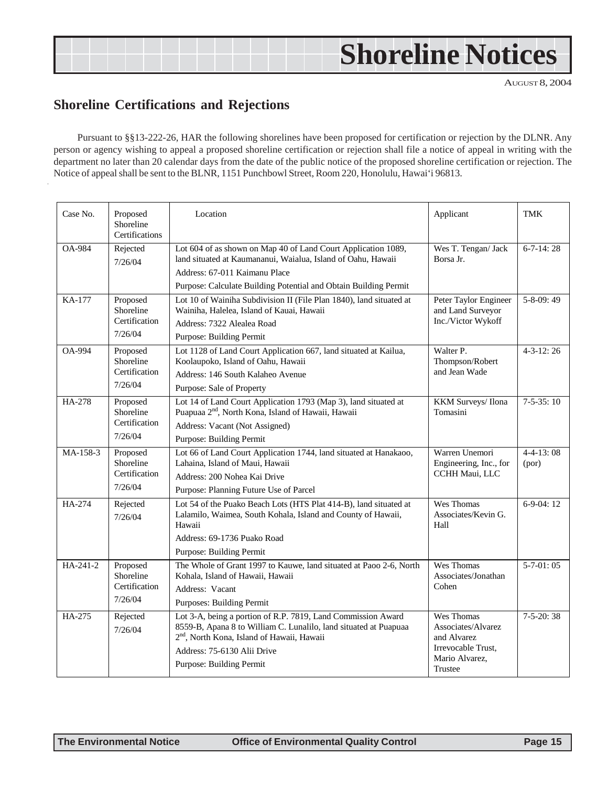# **Shoreline Notices**

AUGUST 8, 2004

# **Shoreline Certifications and Rejections**

Pursuant to §§13-222-26, HAR the following shorelines have been proposed for certification or rejection by the DLNR. Any person or agency wishing to appeal a proposed shoreline certification or rejection shall file a notice of appeal in writing with the department no later than 20 calendar days from the date of the public notice of the proposed shoreline certification or rejection. The Notice of appeal shall be sent to the BLNR, 1151 Punchbowl Street, Room 220, Honolulu, Hawai'i 96813.

| Case No.      | Proposed<br>Shoreline<br>Certifications           | Location                                                                                                                                                                                                                                              | Applicant                                                                                          | TMK                      |
|---------------|---------------------------------------------------|-------------------------------------------------------------------------------------------------------------------------------------------------------------------------------------------------------------------------------------------------------|----------------------------------------------------------------------------------------------------|--------------------------|
| <b>OA-984</b> | Rejected<br>7/26/04                               | Lot 604 of as shown on Map 40 of Land Court Application 1089,<br>land situated at Kaumananui, Waialua, Island of Oahu, Hawaii<br>Address: 67-011 Kaimanu Place<br>Purpose: Calculate Building Potential and Obtain Building Permit                    | Wes T. Tengan/ Jack<br>Borsa Jr.                                                                   | $6 - 7 - 14:28$          |
| KA-177        | Proposed<br>Shoreline<br>Certification<br>7/26/04 | Lot 10 of Wainiha Subdivision II (File Plan 1840), land situated at<br>Wainiha, Halelea, Island of Kauai, Hawaii<br>Address: 7322 Alealea Road<br>Purpose: Building Permit                                                                            | Peter Taylor Engineer<br>and Land Surveyor<br>Inc./Victor Wykoff                                   | $5 - 8 - 09:49$          |
| <b>OA-994</b> | Proposed<br>Shoreline<br>Certification<br>7/26/04 | Lot 1128 of Land Court Application 667, land situated at Kailua,<br>Koolaupoko, Island of Oahu, Hawaii<br>Address: 146 South Kalaheo Avenue<br>Purpose: Sale of Property                                                                              | Walter P.<br>Thompson/Robert<br>and Jean Wade                                                      | $4-3-12:26$              |
| HA-278        | Proposed<br>Shoreline<br>Certification<br>7/26/04 | Lot 14 of Land Court Application 1793 (Map 3), land situated at<br>Puapuaa 2 <sup>nd</sup> , North Kona, Island of Hawaii, Hawaii<br>Address: Vacant (Not Assigned)<br>Purpose: Building Permit                                                       | KKM Surveys/Ilona<br>Tomasini                                                                      | $7-5-35:10$              |
| MA-158-3      | Proposed<br>Shoreline<br>Certification<br>7/26/04 | Lot 66 of Land Court Application 1744, land situated at Hanakaoo,<br>Lahaina, Island of Maui, Hawaii<br>Address: 200 Nohea Kai Drive<br>Purpose: Planning Future Use of Parcel                                                                        | Warren Unemori<br>Engineering, Inc., for<br>CCHH Maui, LLC                                         | $4 - 4 - 13:08$<br>(por) |
| HA-274        | Rejected<br>7/26/04                               | Lot 54 of the Puako Beach Lots (HTS Plat 414-B), land situated at<br>Lalamilo, Waimea, South Kohala, Island and County of Hawaii,<br>Hawaii<br>Address: 69-1736 Puako Road<br>Purpose: Building Permit                                                | Wes Thomas<br>Associates/Kevin G.<br>Hall                                                          | $6-9-04:12$              |
| HA-241-2      | Proposed<br>Shoreline<br>Certification<br>7/26/04 | The Whole of Grant 1997 to Kauwe, land situated at Paoo 2-6, North<br>Kohala, Island of Hawaii, Hawaii<br>Address: Vacant<br><b>Purposes: Building Permit</b>                                                                                         | Wes Thomas<br>Associates/Jonathan<br>Cohen                                                         | $5-7-01:05$              |
| HA-275        | Rejected<br>7/26/04                               | Lot 3-A, being a portion of R.P. 7819, Land Commission Award<br>8559-B, Apana 8 to William C. Lunalilo, land situated at Puapuaa<br>2 <sup>nd</sup> , North Kona, Island of Hawaii, Hawaii<br>Address: 75-6130 Alii Drive<br>Purpose: Building Permit | Wes Thomas<br>Associates/Alvarez<br>and Alvarez<br>Irrevocable Trust,<br>Mario Alvarez,<br>Trustee | $7-5-20:38$              |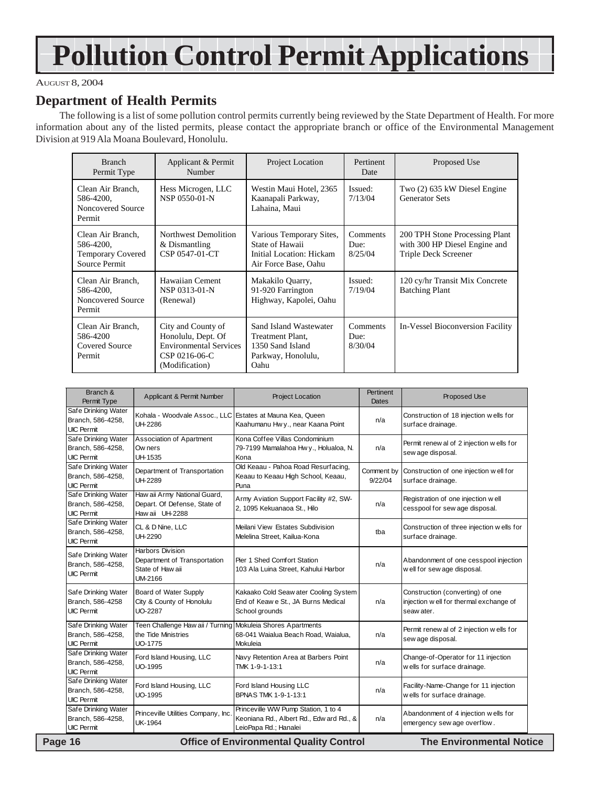# **Pollution Control Permit Applications**

### AUGUST 8, 2004

### **Department of Health Permits**

The following is a list of some pollution control permits currently being reviewed by the State Department of Health. For more information about any of the listed permits, please contact the appropriate branch or office of the Environmental Management Division at 919 Ala Moana Boulevard, Honolulu.

| <b>Branch</b><br>Permit Type                                                | Applicant & Permit<br>Number                                                                                 | Project Location                                                                                | Pertinent<br>Date                  | Proposed Use                                                                            |
|-----------------------------------------------------------------------------|--------------------------------------------------------------------------------------------------------------|-------------------------------------------------------------------------------------------------|------------------------------------|-----------------------------------------------------------------------------------------|
| Clean Air Branch.<br>586-4200,<br>Noncovered Source<br>Permit               | Hess Microgen, LLC<br>NSP 0550-01-N                                                                          | Westin Maui Hotel, 2365<br>Kaanapali Parkway,<br>Lahaina, Maui                                  | Issued:<br>7/13/04                 | Two (2) 635 kW Diesel Engine<br><b>Generator Sets</b>                                   |
| Clean Air Branch,<br>586-4200,<br><b>Temporary Covered</b><br>Source Permit | Northwest Demolition<br>& Dismantling<br>CSP 0547-01-CT                                                      | Various Temporary Sites,<br>State of Hawaii<br>Initial Location: Hickam<br>Air Force Base, Oahu | <b>Comments</b><br>Due:<br>8/25/04 | 200 TPH Stone Processing Plant<br>with 300 HP Diesel Engine and<br>Triple Deck Screener |
| Clean Air Branch.<br>586-4200,<br>Noncovered Source<br>Permit               | Hawaiian Cement<br>NSP 0313-01-N<br>(Renewal)                                                                | Makakilo Quarry,<br>91-920 Farrington<br>Highway, Kapolei, Oahu                                 | Issued:<br>7/19/04                 | 120 cy/hr Transit Mix Concrete<br><b>Batching Plant</b>                                 |
| Clean Air Branch,<br>586-4200<br><b>Covered Source</b><br>Permit            | City and County of<br>Honolulu, Dept. Of<br><b>Environmental Services</b><br>CSP 0216-06-C<br>(Modification) | Sand Island Wastewater<br>Treatment Plant.<br>1350 Sand Island<br>Parkway, Honolulu,<br>Oahu    | Comments<br>Due:<br>8/30/04        | In-Vessel Bioconversion Facility                                                        |

| Branch &<br>Permit Type                                       | Applicant & Permit Number                                                                            | Project Location                                                                                         | <b>Pertinent</b><br><b>Dates</b> | Proposed Use                                                                              |
|---------------------------------------------------------------|------------------------------------------------------------------------------------------------------|----------------------------------------------------------------------------------------------------------|----------------------------------|-------------------------------------------------------------------------------------------|
| Safe Drinking Water<br>Branch, 586-4258,<br><b>UIC Permit</b> | Kohala - Woodvale Assoc., LLC Estates at Mauna Kea, Queen<br>UH-2286                                 | Kaahumanu Hwy., near Kaana Point                                                                         | n/a                              | Construction of 18 injection w ells for<br>surface drainage.                              |
| Safe Drinking Water<br>Branch, 586-4258,<br><b>UIC Permit</b> | Association of Apartment<br>Ow ners<br>UH-1535                                                       | Kona Coffee Villas Condominium<br>79-7199 Mamalahoa Hwy., Holualoa, N.<br>Kona                           | n/a                              | Permit renew al of 2 injection wells for<br>sew age disposal.                             |
| Safe Drinking Water<br>Branch, 586-4258,<br><b>UIC Permit</b> | Department of Transportation<br>UH-2289                                                              | Old Keaau - Pahoa Road Resurfacing,<br>Keaau to Keaau High School, Keaau,<br>Puna                        | Comment by<br>9/22/04            | Construction of one injection well for<br>surface drainage.                               |
| Safe Drinking Water<br>Branch, 586-4258,<br><b>UIC Permit</b> | Haw aii Army National Guard,<br>Depart. Of Defense, State of<br>Haw aii UH-2288                      | Army Aviation Support Facility #2, SW-<br>2, 1095 Kekuanaoa St., Hilo                                    | n/a                              | Registration of one injection w ell<br>cesspool for sew age disposal.                     |
| Safe Drinking Water<br>Branch, 586-4258,<br><b>UIC Permit</b> | CL & D Nine, LLC<br><b>UH-2290</b>                                                                   | Meilani View Estates Subdivision<br>Melelina Street, Kailua-Kona                                         | tba                              | Construction of three injection wells for<br>surface drainage.                            |
| Safe Drinking Water<br>Branch, 586-4258,<br><b>UIC Permit</b> | <b>Harbors Division</b><br>Department of Transportation<br>State of Haw aii<br>UM-2166               | Pier 1 Shed Comfort Station<br>103 Ala Luina Street, Kahului Harbor                                      | n/a                              | Abandonment of one cesspool injection<br>well for sew age disposal.                       |
| Safe Drinking Water<br>Branch, 586-4258<br><b>UIC Permit</b>  | Board of Water Supply<br>City & County of Honolulu<br><b>UO-2287</b>                                 | Kakaako Cold Seaw ater Cooling System<br>End of Keaw e St., JA Burns Medical<br>School grounds           | n/a                              | Construction (converting) of one<br>injection w ell for thermal exchange of<br>seaw ater. |
| Safe Drinking Water<br>Branch, 586-4258,<br><b>UIC Permit</b> | Teen Challenge Haw aii / Turning Mokuleia Shores Apartments<br>the Tide Ministries<br><b>UO-1775</b> | 68-041 Waialua Beach Road, Waialua,<br>Mokuleia                                                          | n/a                              | Permit renew al of 2 injection wells for<br>sew age disposal.                             |
| Safe Drinking Water<br>Branch, 586-4258,<br><b>UIC Permit</b> | Ford Island Housing, LLC<br><b>UO-1995</b>                                                           | Navy Retention Area at Barbers Point<br>TMK 1-9-1-13:1                                                   | n/a                              | Change-of-Operator for 11 injection<br>wells for surface drainage.                        |
| Safe Drinking Water<br>Branch, 586-4258,<br><b>UIC Permit</b> | Ford Island Housing, LLC<br><b>UO-1995</b>                                                           | Ford Island Housing LLC<br>BPNAS TMK 1-9-1-13:1                                                          | n/a                              | Facility-Name-Change for 11 injection<br>wells for surface drainage.                      |
| Safe Drinking Water<br>Branch, 586-4258,<br><b>UIC Permit</b> | Princeville Utilities Company, Inc<br><b>UK-1964</b>                                                 | Princeville WW Pump Station, 1 to 4<br>Keoniana Rd., Albert Rd., Edw ard Rd., &<br>LeioPapa Rd.; Hanalei | n/a                              | Abandonment of 4 injection wells for<br>emergency sew age overflow.                       |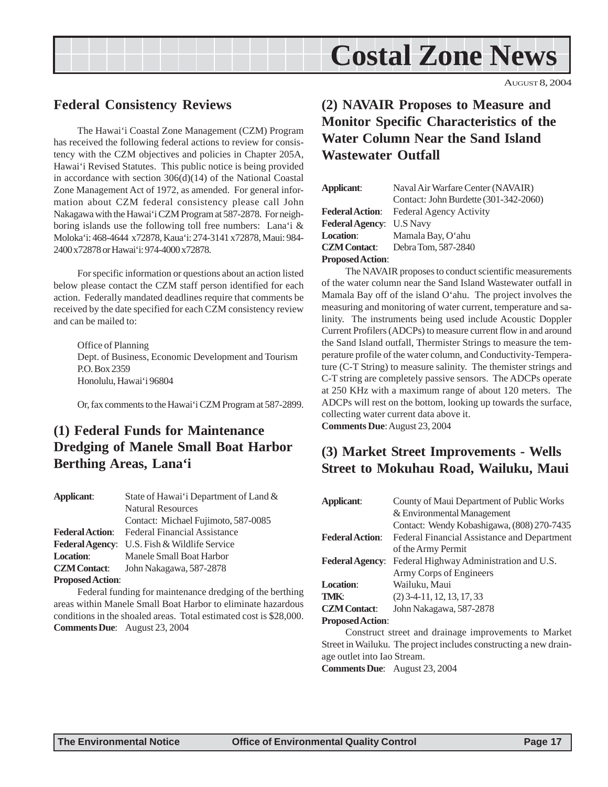

AUGUST 8, 2004

# <span id="page-16-0"></span>**Federal Consistency Reviews**

The Hawai'i Coastal Zone Management (CZM) Program has received the following federal actions to review for consistency with the CZM objectives and policies in Chapter 205A, Hawai'i Revised Statutes. This public notice is being provided in accordance with section 306(d)(14) of the National Coastal Zone Management Act of 1972, as amended. For general information about CZM federal consistency please call John Nakagawa with the Hawai'i CZM Program at 587-2878. For neighboring islands use the following toll free numbers: Lana'i & Moloka'i: 468-4644 x72878, Kaua'i: 274-3141 x72878, Maui: 984- 2400 x72878 or Hawai'i: 974-4000 x72878.

For specific information or questions about an action listed below please contact the CZM staff person identified for each action. Federally mandated deadlines require that comments be received by the date specified for each CZM consistency review and can be mailed to:

Office of Planning Dept. of Business, Economic Development and Tourism P.O. Box 2359 Honolulu, Hawai'i 96804

Or, fax comments to the Hawai'i CZM Program at 587-2899.

# **(1) Federal Funds for Maintenance Dredging of Manele Small Boat Harbor Berthing Areas, Lana'i**

| Applicant:              | State of Hawai'i Department of Land & |
|-------------------------|---------------------------------------|
|                         | <b>Natural Resources</b>              |
|                         | Contact: Michael Fujimoto, 587-0085   |
| <b>Federal Action:</b>  | <b>Federal Financial Assistance</b>   |
| <b>Federal Agency:</b>  | U.S. Fish & Wildlife Service          |
| <b>Location:</b>        | Manele Small Boat Harbor              |
| <b>CZM</b> Contact:     | John Nakagawa, 587-2878               |
| <b>Proposed Action:</b> |                                       |

Federal funding for maintenance dredging of the berthing areas within Manele Small Boat Harbor to eliminate hazardous conditions in the shoaled areas. Total estimated cost is \$28,000. **Comments Due**: August 23, 2004

# **(2) NAVAIR Proposes to Measure and Monitor Specific Characteristics of the Water Column Near the Sand Island Wastewater Outfall**

| Applicant:                      | Naval Air Warfare Center (NAVAIR)     |
|---------------------------------|---------------------------------------|
|                                 | Contact: John Burdette (301-342-2060) |
| <b>Federal Action:</b>          | Federal Agency Activity               |
| <b>Federal Agency:</b> U.S Navy |                                       |
| <b>Location:</b>                | Mamala Bay, O'ahu                     |
| <b>CZM</b> Contact:             | Debra Tom, 587-2840                   |
| <b>Proposed Action:</b>         |                                       |

The NAVAIR proposes to conduct scientific measurements of the water column near the Sand Island Wastewater outfall in Mamala Bay off of the island O'ahu. The project involves the measuring and monitoring of water current, temperature and salinity. The instruments being used include Acoustic Doppler Current Profilers (ADCPs) to measure current flow in and around the Sand Island outfall, Thermister Strings to measure the temperature profile of the water column, and Conductivity-Temperature (C-T String) to measure salinity. The themister strings and C-T string are completely passive sensors. The ADCPs operate at 250 KHz with a maximum range of about 120 meters. The ADCPs will rest on the bottom, looking up towards the surface, collecting water current data above it.

### **Comments Due**: August 23, 2004

# **(3) Market Street Improvements - Wells Street to Mokuhau Road, Wailuku, Maui**

| <b>Applicant:</b>       | County of Maui Department of Public Works   |  |
|-------------------------|---------------------------------------------|--|
|                         | & Environmental Management                  |  |
|                         | Contact: Wendy Kobashigawa, (808) 270-7435  |  |
| <b>Federal Action:</b>  | Federal Financial Assistance and Department |  |
|                         | of the Army Permit                          |  |
| <b>Federal Agency:</b>  | Federal Highway Administration and U.S.     |  |
|                         | Army Corps of Engineers                     |  |
| Location:               | Wailuku, Maui                               |  |
| <b>TMK:</b>             | $(2)$ 3-4-11, 12, 13, 17, 33                |  |
| <b>CZM</b> Contact:     | John Nakagawa, 587-2878                     |  |
| <b>Proposed Action:</b> |                                             |  |
|                         | $\cdots$ $\cdots$                           |  |

Construct street and drainage improvements to Market Street in Wailuku. The project includes constructing a new drainage outlet into Iao Stream.

**Comments Due**: August 23, 2004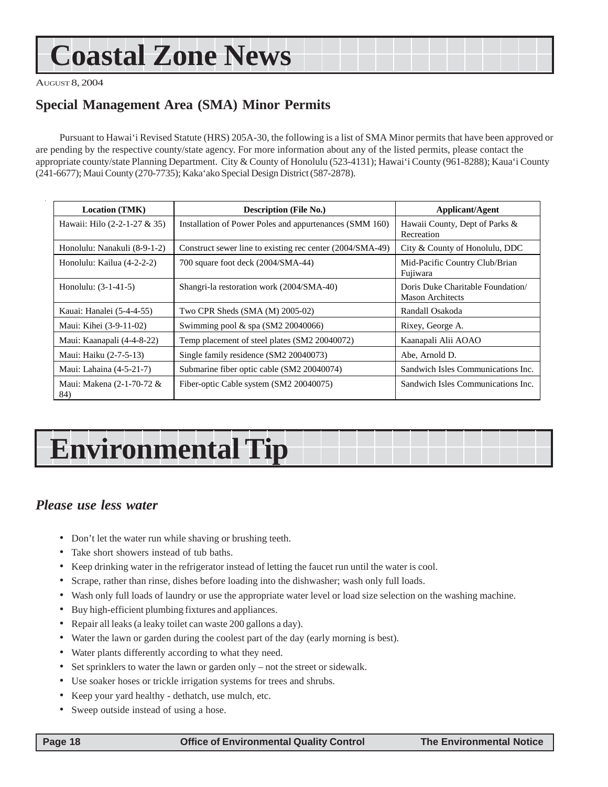# <span id="page-17-0"></span>**Coastal Zone News**

AUGUST 8, 2004

# **Special Management Area (SMA) Minor Permits**

Pursuant to Hawai'i Revised Statute (HRS) 205A-30, the following is a list of SMA Minor permits that have been approved or are pending by the respective county/state agency. For more information about any of the listed permits, please contact the appropriate county/state Planning Department. City & County of Honolulu (523-4131); Hawai'i County (961-8288); Kaua'i County (241-6677); Maui County (270-7735); Kaka'ako Special Design District (587-2878).

| <b>Location (TMK)</b>            | <b>Description (File No.)</b>                             | Applicant/Agent                                              |
|----------------------------------|-----------------------------------------------------------|--------------------------------------------------------------|
| Hawaii: Hilo (2-2-1-27 & 35)     | Installation of Power Poles and appurtenances (SMM 160)   | Hawaii County, Dept of Parks &<br>Recreation                 |
| Honolulu: Nanakuli (8-9-1-2)     | Construct sewer line to existing rec center (2004/SMA-49) | City & County of Honolulu, DDC                               |
| Honolulu: Kailua (4-2-2-2)       | 700 square foot deck (2004/SMA-44)                        | Mid-Pacific Country Club/Brian<br>Fujiwara                   |
| Honolulu: $(3-1-41-5)$           | Shangri-la restoration work (2004/SMA-40)                 | Doris Duke Charitable Foundation/<br><b>Mason Architects</b> |
| Kauai: Hanalei (5-4-4-55)        | Two CPR Sheds (SMA (M) 2005-02)                           | Randall Osakoda                                              |
| Maui: Kihei (3-9-11-02)          | Swimming pool $&$ spa (SM2 20040066)                      | Rixey, George A.                                             |
| Maui: Kaanapali (4-4-8-22)       | Temp placement of steel plates (SM2 20040072)             | Kaanapali Alii AOAO                                          |
| Maui: Haiku (2-7-5-13)           | Single family residence (SM2 20040073)                    | Abe, Arnold D.                                               |
| Maui: Lahaina (4-5-21-7)         | Submarine fiber optic cable (SM2 20040074)                | Sandwich Isles Communications Inc.                           |
| Maui: Makena (2-1-70-72 &<br>84) | Fiber-optic Cable system (SM2 20040075)                   | Sandwich Isles Communications Inc.                           |

# **Environmental Tip**

# *Please use less water*

- Don't let the water run while shaving or brushing teeth.
- Take short showers instead of tub baths.
- Keep drinking water in the refrigerator instead of letting the faucet run until the water is cool.
- Scrape, rather than rinse, dishes before loading into the dishwasher; wash only full loads.
- Wash only full loads of laundry or use the appropriate water level or load size selection on the washing machine.
- Buy high-efficient plumbing fixtures and appliances.
- Repair all leaks (a leaky toilet can waste 200 gallons a day).
- Water the lawn or garden during the coolest part of the day (early morning is best).
- Water plants differently according to what they need.
- Set sprinklers to water the lawn or garden only not the street or sidewalk.
- Use soaker hoses or trickle irrigation systems for trees and shrubs.
- Keep your yard healthy dethatch, use mulch, etc.
- Sweep outside instead of using a hose.